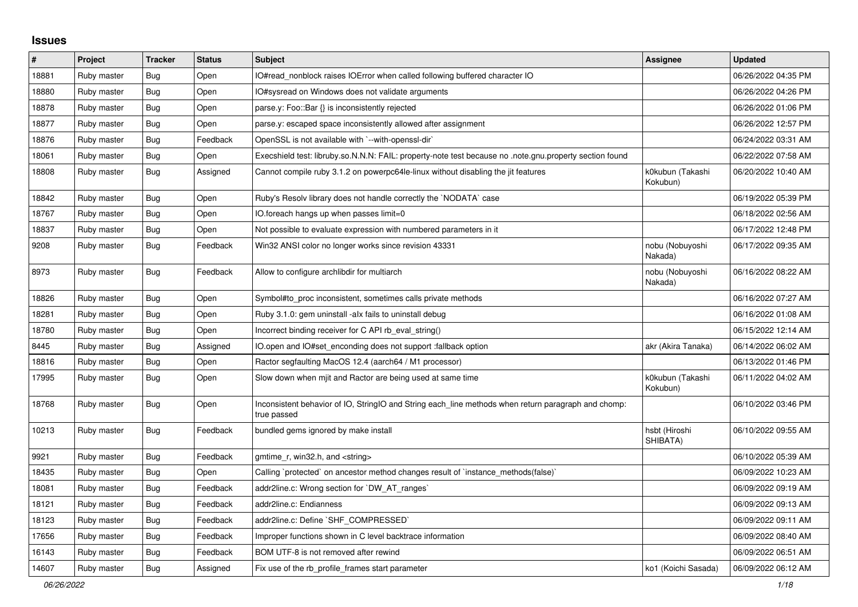## **Issues**

| #     | Project     | <b>Tracker</b> | <b>Status</b> | <b>Subject</b>                                                                                                     | Assignee                     | <b>Updated</b>      |
|-------|-------------|----------------|---------------|--------------------------------------------------------------------------------------------------------------------|------------------------------|---------------------|
| 18881 | Ruby master | <b>Bug</b>     | Open          | IO#read_nonblock raises IOError when called following buffered character IO                                        |                              | 06/26/2022 04:35 PM |
| 18880 | Ruby master | Bug            | Open          | IO#sysread on Windows does not validate arguments                                                                  |                              | 06/26/2022 04:26 PM |
| 18878 | Ruby master | Bug            | Open          | parse.y: Foo::Bar {} is inconsistently rejected                                                                    |                              | 06/26/2022 01:06 PM |
| 18877 | Ruby master | <b>Bug</b>     | Open          | parse.y: escaped space inconsistently allowed after assignment                                                     |                              | 06/26/2022 12:57 PM |
| 18876 | Ruby master | <b>Bug</b>     | Feedback      | OpenSSL is not available with `--with-openssl-dir`                                                                 |                              | 06/24/2022 03:31 AM |
| 18061 | Ruby master | <b>Bug</b>     | Open          | Execshield test: libruby.so.N.N.N: FAIL: property-note test because no .note.gnu.property section found            |                              | 06/22/2022 07:58 AM |
| 18808 | Ruby master | Bug            | Assigned      | Cannot compile ruby 3.1.2 on powerpc64le-linux without disabling the jit features                                  | k0kubun (Takashi<br>Kokubun) | 06/20/2022 10:40 AM |
| 18842 | Ruby master | <b>Bug</b>     | Open          | Ruby's Resolv library does not handle correctly the `NODATA` case                                                  |                              | 06/19/2022 05:39 PM |
| 18767 | Ruby master | Bug            | Open          | IO.foreach hangs up when passes limit=0                                                                            |                              | 06/18/2022 02:56 AM |
| 18837 | Ruby master | <b>Bug</b>     | Open          | Not possible to evaluate expression with numbered parameters in it                                                 |                              | 06/17/2022 12:48 PM |
| 9208  | Ruby master | <b>Bug</b>     | Feedback      | Win32 ANSI color no longer works since revision 43331                                                              | nobu (Nobuyoshi<br>Nakada)   | 06/17/2022 09:35 AM |
| 8973  | Ruby master | <b>Bug</b>     | Feedback      | Allow to configure archlibdir for multiarch                                                                        | nobu (Nobuyoshi<br>Nakada)   | 06/16/2022 08:22 AM |
| 18826 | Ruby master | <b>Bug</b>     | Open          | Symbol#to_proc inconsistent, sometimes calls private methods                                                       |                              | 06/16/2022 07:27 AM |
| 18281 | Ruby master | <b>Bug</b>     | Open          | Ruby 3.1.0: gem uninstall -alx fails to uninstall debug                                                            |                              | 06/16/2022 01:08 AM |
| 18780 | Ruby master | <b>Bug</b>     | Open          | Incorrect binding receiver for C API rb_eval_string()                                                              |                              | 06/15/2022 12:14 AM |
| 8445  | Ruby master | <b>Bug</b>     | Assigned      | IO.open and IO#set_enconding does not support :fallback option                                                     | akr (Akira Tanaka)           | 06/14/2022 06:02 AM |
| 18816 | Ruby master | <b>Bug</b>     | Open          | Ractor segfaulting MacOS 12.4 (aarch64 / M1 processor)                                                             |                              | 06/13/2022 01:46 PM |
| 17995 | Ruby master | Bug            | Open          | Slow down when mjit and Ractor are being used at same time                                                         | k0kubun (Takashi<br>Kokubun) | 06/11/2022 04:02 AM |
| 18768 | Ruby master | <b>Bug</b>     | Open          | Inconsistent behavior of IO, StringIO and String each_line methods when return paragraph and chomp:<br>true passed |                              | 06/10/2022 03:46 PM |
| 10213 | Ruby master | <b>Bug</b>     | Feedback      | bundled gems ignored by make install                                                                               | hsbt (Hiroshi<br>SHIBATA)    | 06/10/2022 09:55 AM |
| 9921  | Ruby master | <b>Bug</b>     | Feedback      | gmtime_r, win32.h, and <string></string>                                                                           |                              | 06/10/2022 05:39 AM |
| 18435 | Ruby master | Bug            | Open          | Calling `protected` on ancestor method changes result of `instance_methods(false)`                                 |                              | 06/09/2022 10:23 AM |
| 18081 | Ruby master | <b>Bug</b>     | Feedback      | addr2line.c: Wrong section for `DW AT ranges`                                                                      |                              | 06/09/2022 09:19 AM |
| 18121 | Ruby master | <b>Bug</b>     | Feedback      | addr2line.c: Endianness                                                                                            |                              | 06/09/2022 09:13 AM |
| 18123 | Ruby master | Bug            | Feedback      | addr2line.c: Define `SHF COMPRESSED`                                                                               |                              | 06/09/2022 09:11 AM |
| 17656 | Ruby master | <b>Bug</b>     | Feedback      | Improper functions shown in C level backtrace information                                                          |                              | 06/09/2022 08:40 AM |
| 16143 | Ruby master | <b>Bug</b>     | Feedback      | BOM UTF-8 is not removed after rewind                                                                              |                              | 06/09/2022 06:51 AM |
| 14607 | Ruby master | <b>Bug</b>     | Assigned      | Fix use of the rb profile frames start parameter                                                                   | ko1 (Koichi Sasada)          | 06/09/2022 06:12 AM |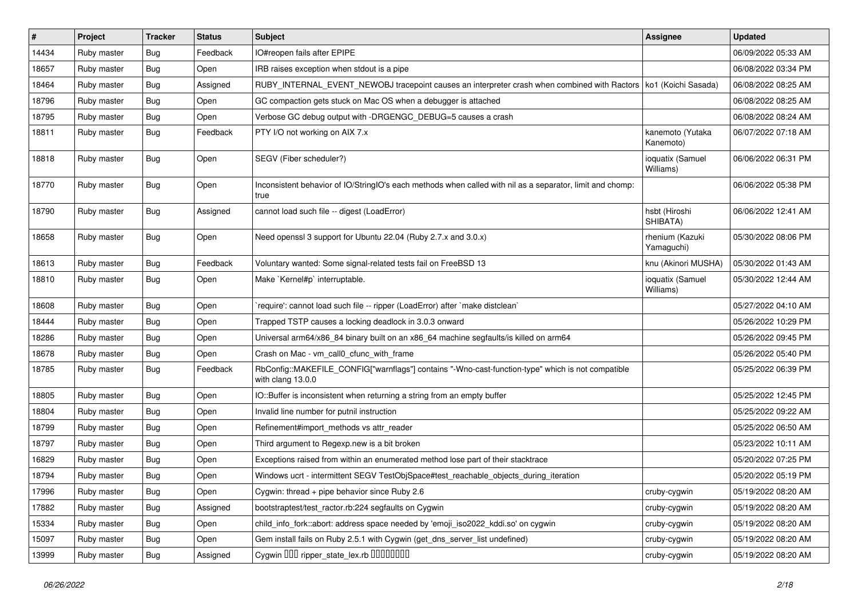| $\vert$ # | Project     | <b>Tracker</b> | <b>Status</b> | <b>Subject</b>                                                                                                         | Assignee                      | <b>Updated</b>      |
|-----------|-------------|----------------|---------------|------------------------------------------------------------------------------------------------------------------------|-------------------------------|---------------------|
| 14434     | Ruby master | <b>Bug</b>     | Feedback      | IO#reopen fails after EPIPE                                                                                            |                               | 06/09/2022 05:33 AM |
| 18657     | Ruby master | Bug            | Open          | IRB raises exception when stdout is a pipe                                                                             |                               | 06/08/2022 03:34 PM |
| 18464     | Ruby master | <b>Bug</b>     | Assigned      | RUBY_INTERNAL_EVENT_NEWOBJ tracepoint causes an interpreter crash when combined with Ractors   ko1 (Koichi Sasada)     |                               | 06/08/2022 08:25 AM |
| 18796     | Ruby master | <b>Bug</b>     | Open          | GC compaction gets stuck on Mac OS when a debugger is attached                                                         |                               | 06/08/2022 08:25 AM |
| 18795     | Ruby master | <b>Bug</b>     | Open          | Verbose GC debug output with -DRGENGC_DEBUG=5 causes a crash                                                           |                               | 06/08/2022 08:24 AM |
| 18811     | Ruby master | <b>Bug</b>     | Feedback      | PTY I/O not working on AIX 7.x                                                                                         | kanemoto (Yutaka<br>Kanemoto) | 06/07/2022 07:18 AM |
| 18818     | Ruby master | <b>Bug</b>     | Open          | SEGV (Fiber scheduler?)                                                                                                | ioquatix (Samuel<br>Williams) | 06/06/2022 06:31 PM |
| 18770     | Ruby master | <b>Bug</b>     | Open          | Inconsistent behavior of IO/StringIO's each methods when called with nil as a separator, limit and chomp:<br>true      |                               | 06/06/2022 05:38 PM |
| 18790     | Ruby master | <b>Bug</b>     | Assigned      | cannot load such file -- digest (LoadError)                                                                            | hsbt (Hiroshi<br>SHIBATA)     | 06/06/2022 12:41 AM |
| 18658     | Ruby master | <b>Bug</b>     | Open          | Need openssl 3 support for Ubuntu 22.04 (Ruby 2.7.x and 3.0.x)                                                         | rhenium (Kazuki<br>Yamaguchi) | 05/30/2022 08:06 PM |
| 18613     | Ruby master | <b>Bug</b>     | Feedback      | Voluntary wanted: Some signal-related tests fail on FreeBSD 13                                                         | knu (Akinori MUSHA)           | 05/30/2022 01:43 AM |
| 18810     | Ruby master | <b>Bug</b>     | Open          | Make `Kernel#p` interruptable.                                                                                         | ioquatix (Samuel<br>Williams) | 05/30/2022 12:44 AM |
| 18608     | Ruby master | <b>Bug</b>     | Open          | require': cannot load such file -- ripper (LoadError) after `make distclean`                                           |                               | 05/27/2022 04:10 AM |
| 18444     | Ruby master | <b>Bug</b>     | Open          | Trapped TSTP causes a locking deadlock in 3.0.3 onward                                                                 |                               | 05/26/2022 10:29 PM |
| 18286     | Ruby master | <b>Bug</b>     | Open          | Universal arm64/x86_84 binary built on an x86_64 machine segfaults/is killed on arm64                                  |                               | 05/26/2022 09:45 PM |
| 18678     | Ruby master | <b>Bug</b>     | Open          | Crash on Mac - vm_call0_cfunc_with_frame                                                                               |                               | 05/26/2022 05:40 PM |
| 18785     | Ruby master | <b>Bug</b>     | Feedback      | RbConfig::MAKEFILE_CONFIG["warnflags"] contains "-Wno-cast-function-type" which is not compatible<br>with clang 13.0.0 |                               | 05/25/2022 06:39 PM |
| 18805     | Ruby master | <b>Bug</b>     | Open          | IO::Buffer is inconsistent when returning a string from an empty buffer                                                |                               | 05/25/2022 12:45 PM |
| 18804     | Ruby master | <b>Bug</b>     | Open          | Invalid line number for putnil instruction                                                                             |                               | 05/25/2022 09:22 AM |
| 18799     | Ruby master | <b>Bug</b>     | Open          | Refinement#import_methods vs attr_reader                                                                               |                               | 05/25/2022 06:50 AM |
| 18797     | Ruby master | <b>Bug</b>     | Open          | Third argument to Regexp.new is a bit broken                                                                           |                               | 05/23/2022 10:11 AM |
| 16829     | Ruby master | <b>Bug</b>     | Open          | Exceptions raised from within an enumerated method lose part of their stacktrace                                       |                               | 05/20/2022 07:25 PM |
| 18794     | Ruby master | <b>Bug</b>     | Open          | Windows ucrt - intermittent SEGV TestObjSpace#test_reachable_objects_during_iteration                                  |                               | 05/20/2022 05:19 PM |
| 17996     | Ruby master | <b>Bug</b>     | Open          | Cygwin: thread + pipe behavior since Ruby 2.6                                                                          | cruby-cygwin                  | 05/19/2022 08:20 AM |
| 17882     | Ruby master | <b>Bug</b>     | Assigned      | bootstraptest/test_ractor.rb:224 segfaults on Cygwin                                                                   | cruby-cygwin                  | 05/19/2022 08:20 AM |
| 15334     | Ruby master | Bug            | Open          | child_info_fork::abort: address space needed by 'emoji_iso2022_kddi.so' on cygwin                                      | cruby-cygwin                  | 05/19/2022 08:20 AM |
| 15097     | Ruby master | <b>Bug</b>     | Open          | Gem install fails on Ruby 2.5.1 with Cygwin (get_dns_server_list undefined)                                            | cruby-cygwin                  | 05/19/2022 08:20 AM |
| 13999     | Ruby master | <b>Bug</b>     | Assigned      | Cygwin DDD ripper_state_lex.rb DDDDDDDD                                                                                | cruby-cygwin                  | 05/19/2022 08:20 AM |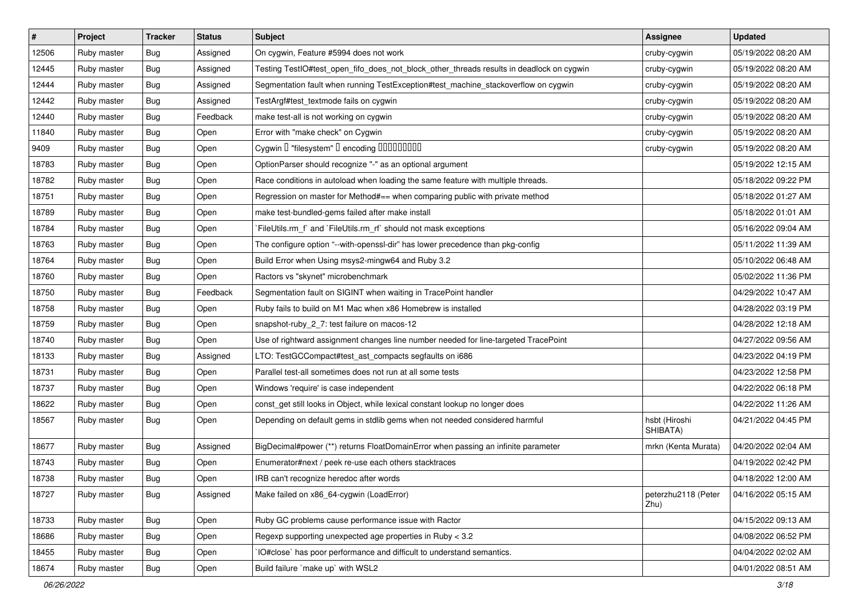| $\vert$ # | Project     | <b>Tracker</b> | <b>Status</b> | <b>Subject</b>                                                                           | Assignee                    | <b>Updated</b>      |
|-----------|-------------|----------------|---------------|------------------------------------------------------------------------------------------|-----------------------------|---------------------|
| 12506     | Ruby master | Bug            | Assigned      | On cygwin, Feature #5994 does not work                                                   | cruby-cygwin                | 05/19/2022 08:20 AM |
| 12445     | Ruby master | <b>Bug</b>     | Assigned      | Testing TestlO#test_open_fifo_does_not_block_other_threads results in deadlock on cygwin | cruby-cygwin                | 05/19/2022 08:20 AM |
| 12444     | Ruby master | Bug            | Assigned      | Segmentation fault when running TestException#test_machine_stackoverflow on cygwin       | cruby-cygwin                | 05/19/2022 08:20 AM |
| 12442     | Ruby master | Bug            | Assigned      | TestArgf#test textmode fails on cygwin                                                   | cruby-cygwin                | 05/19/2022 08:20 AM |
| 12440     | Ruby master | Bug            | Feedback      | make test-all is not working on cygwin                                                   | cruby-cygwin                | 05/19/2022 08:20 AM |
| 11840     | Ruby master | Bug            | Open          | Error with "make check" on Cygwin                                                        | cruby-cygwin                | 05/19/2022 08:20 AM |
| 9409      | Ruby master | <b>Bug</b>     | Open          | Cygwin I "filesystem" I encoding IIIIIIIIIIIII                                           | cruby-cygwin                | 05/19/2022 08:20 AM |
| 18783     | Ruby master | Bug            | Open          | OptionParser should recognize "-" as an optional argument                                |                             | 05/19/2022 12:15 AM |
| 18782     | Ruby master | <b>Bug</b>     | Open          | Race conditions in autoload when loading the same feature with multiple threads.         |                             | 05/18/2022 09:22 PM |
| 18751     | Ruby master | Bug            | Open          | Regression on master for Method#== when comparing public with private method             |                             | 05/18/2022 01:27 AM |
| 18789     | Ruby master | Bug            | Open          | make test-bundled-gems failed after make install                                         |                             | 05/18/2022 01:01 AM |
| 18784     | Ruby master | Bug            | Open          | FileUtils.rm_f` and `FileUtils.rm_rf` should not mask exceptions                         |                             | 05/16/2022 09:04 AM |
| 18763     | Ruby master | Bug            | Open          | The configure option "--with-openssl-dir" has lower precedence than pkg-config           |                             | 05/11/2022 11:39 AM |
| 18764     | Ruby master | <b>Bug</b>     | Open          | Build Error when Using msys2-mingw64 and Ruby 3.2                                        |                             | 05/10/2022 06:48 AM |
| 18760     | Ruby master | <b>Bug</b>     | Open          | Ractors vs "skynet" microbenchmark                                                       |                             | 05/02/2022 11:36 PM |
| 18750     | Ruby master | Bug            | Feedback      | Segmentation fault on SIGINT when waiting in TracePoint handler                          |                             | 04/29/2022 10:47 AM |
| 18758     | Ruby master | Bug            | Open          | Ruby fails to build on M1 Mac when x86 Homebrew is installed                             |                             | 04/28/2022 03:19 PM |
| 18759     | Ruby master | Bug            | Open          | snapshot-ruby_2_7: test failure on macos-12                                              |                             | 04/28/2022 12:18 AM |
| 18740     | Ruby master | Bug            | Open          | Use of rightward assignment changes line number needed for line-targeted TracePoint      |                             | 04/27/2022 09:56 AM |
| 18133     | Ruby master | <b>Bug</b>     | Assigned      | LTO: TestGCCompact#test_ast_compacts segfaults on i686                                   |                             | 04/23/2022 04:19 PM |
| 18731     | Ruby master | <b>Bug</b>     | Open          | Parallel test-all sometimes does not run at all some tests                               |                             | 04/23/2022 12:58 PM |
| 18737     | Ruby master | <b>Bug</b>     | Open          | Windows 'require' is case independent                                                    |                             | 04/22/2022 06:18 PM |
| 18622     | Ruby master | <b>Bug</b>     | Open          | const_get still looks in Object, while lexical constant lookup no longer does            |                             | 04/22/2022 11:26 AM |
| 18567     | Ruby master | Bug            | Open          | Depending on default gems in stdlib gems when not needed considered harmful              | hsbt (Hiroshi<br>SHIBATA)   | 04/21/2022 04:45 PM |
| 18677     | Ruby master | Bug            | Assigned      | BigDecimal#power (**) returns FloatDomainError when passing an infinite parameter        | mrkn (Kenta Murata)         | 04/20/2022 02:04 AM |
| 18743     | Ruby master | <b>Bug</b>     | Open          | Enumerator#next / peek re-use each others stacktraces                                    |                             | 04/19/2022 02:42 PM |
| 18738     | Ruby master | Bug            | Open          | IRB can't recognize heredoc after words                                                  |                             | 04/18/2022 12:00 AM |
| 18727     | Ruby master | <b>Bug</b>     | Assigned      | Make failed on x86_64-cygwin (LoadError)                                                 | peterzhu2118 (Peter<br>Zhu) | 04/16/2022 05:15 AM |
| 18733     | Ruby master | <b>Bug</b>     | Open          | Ruby GC problems cause performance issue with Ractor                                     |                             | 04/15/2022 09:13 AM |
| 18686     | Ruby master | <b>Bug</b>     | Open          | Regexp supporting unexpected age properties in Ruby < 3.2                                |                             | 04/08/2022 06:52 PM |
| 18455     | Ruby master | <b>Bug</b>     | Open          | IO#close` has poor performance and difficult to understand semantics.                    |                             | 04/04/2022 02:02 AM |
| 18674     | Ruby master | Bug            | Open          | Build failure `make up` with WSL2                                                        |                             | 04/01/2022 08:51 AM |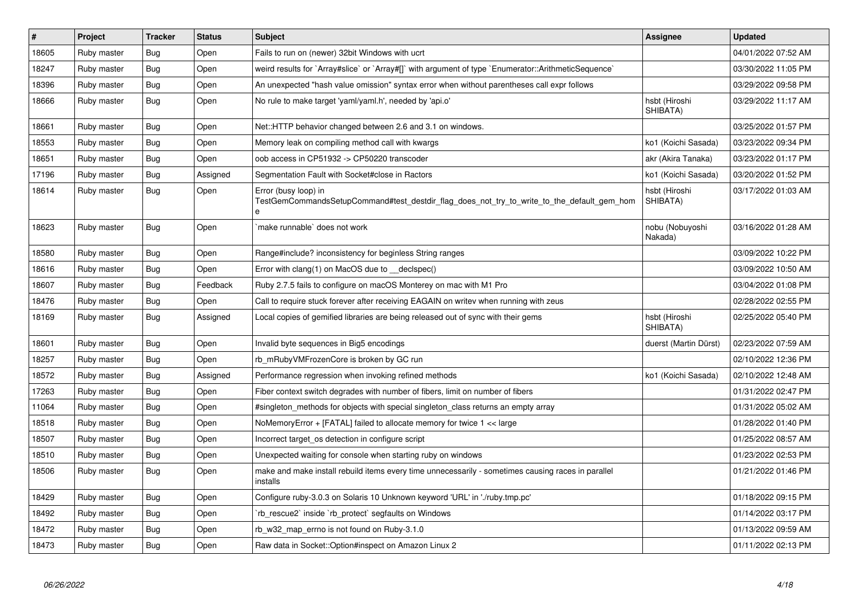| $\vert$ # | Project     | <b>Tracker</b> | <b>Status</b> | <b>Subject</b>                                                                                                          | <b>Assignee</b>            | <b>Updated</b>      |
|-----------|-------------|----------------|---------------|-------------------------------------------------------------------------------------------------------------------------|----------------------------|---------------------|
| 18605     | Ruby master | Bug            | Open          | Fails to run on (newer) 32bit Windows with ucrt                                                                         |                            | 04/01/2022 07:52 AM |
| 18247     | Ruby master | <b>Bug</b>     | Open          | weird results for `Array#slice` or `Array#[]` with argument of type `Enumerator::ArithmeticSequence`                    |                            | 03/30/2022 11:05 PM |
| 18396     | Ruby master | Bug            | Open          | An unexpected "hash value omission" syntax error when without parentheses call expr follows                             |                            | 03/29/2022 09:58 PM |
| 18666     | Ruby master | <b>Bug</b>     | Open          | No rule to make target 'yaml/yaml.h', needed by 'api.o'                                                                 | hsbt (Hiroshi<br>SHIBATA)  | 03/29/2022 11:17 AM |
| 18661     | Ruby master | Bug            | Open          | Net::HTTP behavior changed between 2.6 and 3.1 on windows.                                                              |                            | 03/25/2022 01:57 PM |
| 18553     | Ruby master | <b>Bug</b>     | Open          | Memory leak on compiling method call with kwargs                                                                        | ko1 (Koichi Sasada)        | 03/23/2022 09:34 PM |
| 18651     | Ruby master | <b>Bug</b>     | Open          | oob access in CP51932 -> CP50220 transcoder                                                                             | akr (Akira Tanaka)         | 03/23/2022 01:17 PM |
| 17196     | Ruby master | Bug            | Assigned      | Segmentation Fault with Socket#close in Ractors                                                                         | ko1 (Koichi Sasada)        | 03/20/2022 01:52 PM |
| 18614     | Ruby master | <b>Bug</b>     | Open          | Error (busy loop) in<br>TestGemCommandsSetupCommand#test destdir flag does not try to write to the default gem hom<br>e | hsbt (Hiroshi<br>SHIBATA)  | 03/17/2022 01:03 AM |
| 18623     | Ruby master | <b>Bug</b>     | Open          | make runnable' does not work                                                                                            | nobu (Nobuyoshi<br>Nakada) | 03/16/2022 01:28 AM |
| 18580     | Ruby master | <b>Bug</b>     | Open          | Range#include? inconsistency for beginless String ranges                                                                |                            | 03/09/2022 10:22 PM |
| 18616     | Ruby master | <b>Bug</b>     | Open          | Error with clang(1) on MacOS due to __declspec()                                                                        |                            | 03/09/2022 10:50 AM |
| 18607     | Ruby master | <b>Bug</b>     | Feedback      | Ruby 2.7.5 fails to configure on macOS Monterey on mac with M1 Pro                                                      |                            | 03/04/2022 01:08 PM |
| 18476     | Ruby master | Bug            | Open          | Call to require stuck forever after receiving EAGAIN on writev when running with zeus                                   |                            | 02/28/2022 02:55 PM |
| 18169     | Ruby master | <b>Bug</b>     | Assigned      | Local copies of gemified libraries are being released out of sync with their gems                                       | hsbt (Hiroshi<br>SHIBATA)  | 02/25/2022 05:40 PM |
| 18601     | Ruby master | Bug            | Open          | Invalid byte sequences in Big5 encodings                                                                                | duerst (Martin Dürst)      | 02/23/2022 07:59 AM |
| 18257     | Ruby master | Bug            | Open          | rb mRubyVMFrozenCore is broken by GC run                                                                                |                            | 02/10/2022 12:36 PM |
| 18572     | Ruby master | <b>Bug</b>     | Assigned      | Performance regression when invoking refined methods                                                                    | ko1 (Koichi Sasada)        | 02/10/2022 12:48 AM |
| 17263     | Ruby master | Bug            | Open          | Fiber context switch degrades with number of fibers, limit on number of fibers                                          |                            | 01/31/2022 02:47 PM |
| 11064     | Ruby master | Bug            | Open          | #singleton_methods for objects with special singleton_class returns an empty array                                      |                            | 01/31/2022 05:02 AM |
| 18518     | Ruby master | <b>Bug</b>     | Open          | NoMemoryError + [FATAL] failed to allocate memory for twice 1 << large                                                  |                            | 01/28/2022 01:40 PM |
| 18507     | Ruby master | <b>Bug</b>     | Open          | Incorrect target os detection in configure script                                                                       |                            | 01/25/2022 08:57 AM |
| 18510     | Ruby master | Bug            | Open          | Unexpected waiting for console when starting ruby on windows                                                            |                            | 01/23/2022 02:53 PM |
| 18506     | Ruby master | <b>Bug</b>     | Open          | make and make install rebuild items every time unnecessarily - sometimes causing races in parallel<br>installs          |                            | 01/21/2022 01:46 PM |
| 18429     | Ruby master | <b>Bug</b>     | Open          | Configure ruby-3.0.3 on Solaris 10 Unknown keyword 'URL' in './ruby.tmp.pc'                                             |                            | 01/18/2022 09:15 PM |
| 18492     | Ruby master | Bug            | Open          | rb_rescue2` inside `rb_protect` segfaults on Windows                                                                    |                            | 01/14/2022 03:17 PM |
| 18472     | Ruby master | Bug            | Open          | rb w32 map errno is not found on Ruby-3.1.0                                                                             |                            | 01/13/2022 09:59 AM |
| 18473     | Ruby master | <b>Bug</b>     | Open          | Raw data in Socket::Option#inspect on Amazon Linux 2                                                                    |                            | 01/11/2022 02:13 PM |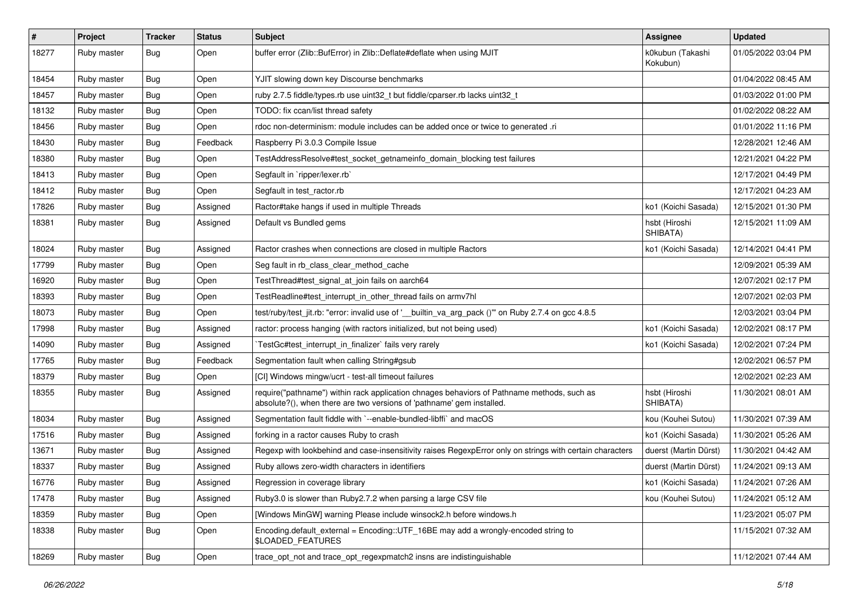| #     | Project     | <b>Tracker</b> | <b>Status</b> | <b>Subject</b>                                                                                                                                                      | <b>Assignee</b>              | <b>Updated</b>      |
|-------|-------------|----------------|---------------|---------------------------------------------------------------------------------------------------------------------------------------------------------------------|------------------------------|---------------------|
| 18277 | Ruby master | Bug            | Open          | buffer error (Zlib::BufError) in Zlib::Deflate#deflate when using MJIT                                                                                              | k0kubun (Takashi<br>Kokubun) | 01/05/2022 03:04 PM |
| 18454 | Ruby master | Bug            | Open          | YJIT slowing down key Discourse benchmarks                                                                                                                          |                              | 01/04/2022 08:45 AM |
| 18457 | Ruby master | <b>Bug</b>     | Open          | ruby 2.7.5 fiddle/types.rb use uint32_t but fiddle/cparser.rb lacks uint32_t                                                                                        |                              | 01/03/2022 01:00 PM |
| 18132 | Ruby master | <b>Bug</b>     | Open          | TODO: fix ccan/list thread safety                                                                                                                                   |                              | 01/02/2022 08:22 AM |
| 18456 | Ruby master | Bug            | Open          | rdoc non-determinism: module includes can be added once or twice to generated .ri                                                                                   |                              | 01/01/2022 11:16 PM |
| 18430 | Ruby master | <b>Bug</b>     | Feedback      | Raspberry Pi 3.0.3 Compile Issue                                                                                                                                    |                              | 12/28/2021 12:46 AM |
| 18380 | Ruby master | <b>Bug</b>     | Open          | TestAddressResolve#test_socket_getnameinfo_domain_blocking test failures                                                                                            |                              | 12/21/2021 04:22 PM |
| 18413 | Ruby master | Bug            | Open          | Segfault in `ripper/lexer.rb`                                                                                                                                       |                              | 12/17/2021 04:49 PM |
| 18412 | Ruby master | <b>Bug</b>     | Open          | Segfault in test ractor.rb                                                                                                                                          |                              | 12/17/2021 04:23 AM |
| 17826 | Ruby master | Bug            | Assigned      | Ractor#take hangs if used in multiple Threads                                                                                                                       | ko1 (Koichi Sasada)          | 12/15/2021 01:30 PM |
| 18381 | Ruby master | <b>Bug</b>     | Assigned      | Default vs Bundled gems                                                                                                                                             | hsbt (Hiroshi<br>SHIBATA)    | 12/15/2021 11:09 AM |
| 18024 | Ruby master | Bug            | Assigned      | Ractor crashes when connections are closed in multiple Ractors                                                                                                      | ko1 (Koichi Sasada)          | 12/14/2021 04:41 PM |
| 17799 | Ruby master | Bug            | Open          | Seg fault in rb_class_clear_method_cache                                                                                                                            |                              | 12/09/2021 05:39 AM |
| 16920 | Ruby master | <b>Bug</b>     | Open          | TestThread#test signal at join fails on aarch64                                                                                                                     |                              | 12/07/2021 02:17 PM |
| 18393 | Ruby master | Bug            | Open          | TestReadline#test interrupt in other thread fails on armv7hl                                                                                                        |                              | 12/07/2021 02:03 PM |
| 18073 | Ruby master | <b>Bug</b>     | Open          | test/ruby/test_jit.rb: "error: invalid use of '_builtin_va_arg_pack ()" on Ruby 2.7.4 on gcc 4.8.5                                                                  |                              | 12/03/2021 03:04 PM |
| 17998 | Ruby master | Bug            | Assigned      | ractor: process hanging (with ractors initialized, but not being used)                                                                                              | ko1 (Koichi Sasada)          | 12/02/2021 08:17 PM |
| 14090 | Ruby master | <b>Bug</b>     | Assigned      | TestGc#test_interrupt_in_finalizer` fails very rarely                                                                                                               | ko1 (Koichi Sasada)          | 12/02/2021 07:24 PM |
| 17765 | Ruby master | <b>Bug</b>     | Feedback      | Segmentation fault when calling String#gsub                                                                                                                         |                              | 12/02/2021 06:57 PM |
| 18379 | Ruby master | Bug            | Open          | [CI] Windows mingw/ucrt - test-all timeout failures                                                                                                                 |                              | 12/02/2021 02:23 AM |
| 18355 | Ruby master | <b>Bug</b>     | Assigned      | require("pathname") within rack application chnages behaviors of Pathname methods, such as<br>absolute?(), when there are two versions of 'pathname' gem installed. | hsbt (Hiroshi<br>SHIBATA)    | 11/30/2021 08:01 AM |
| 18034 | Ruby master | Bug            | Assigned      | Segmentation fault fiddle with `--enable-bundled-libffi` and macOS                                                                                                  | kou (Kouhei Sutou)           | 11/30/2021 07:39 AM |
| 17516 | Ruby master | <b>Bug</b>     | Assigned      | forking in a ractor causes Ruby to crash                                                                                                                            | ko1 (Koichi Sasada)          | 11/30/2021 05:26 AM |
| 13671 | Ruby master | <b>Bug</b>     | Assigned      | Regexp with lookbehind and case-insensitivity raises RegexpError only on strings with certain characters                                                            | duerst (Martin Dürst)        | 11/30/2021 04:42 AM |
| 18337 | Ruby master | <b>Bug</b>     | Assigned      | Ruby allows zero-width characters in identifiers                                                                                                                    | duerst (Martin Dürst)        | 11/24/2021 09:13 AM |
| 16776 | Ruby master | Bug            | Assigned      | Regression in coverage library                                                                                                                                      | ko1 (Koichi Sasada)          | 11/24/2021 07:26 AM |
| 17478 | Ruby master | Bug            | Assigned      | Ruby3.0 is slower than Ruby2.7.2 when parsing a large CSV file                                                                                                      | kou (Kouhei Sutou)           | 11/24/2021 05:12 AM |
| 18359 | Ruby master | <b>Bug</b>     | Open          | [Windows MinGW] warning Please include winsock2.h before windows.h                                                                                                  |                              | 11/23/2021 05:07 PM |
| 18338 | Ruby master | <b>Bug</b>     | Open          | Encoding.default_external = Encoding::UTF_16BE may add a wrongly-encoded string to<br>\$LOADED_FEATURES                                                             |                              | 11/15/2021 07:32 AM |
| 18269 | Ruby master | Bug            | Open          | trace_opt_not and trace_opt_regexpmatch2 insns are indistinguishable                                                                                                |                              | 11/12/2021 07:44 AM |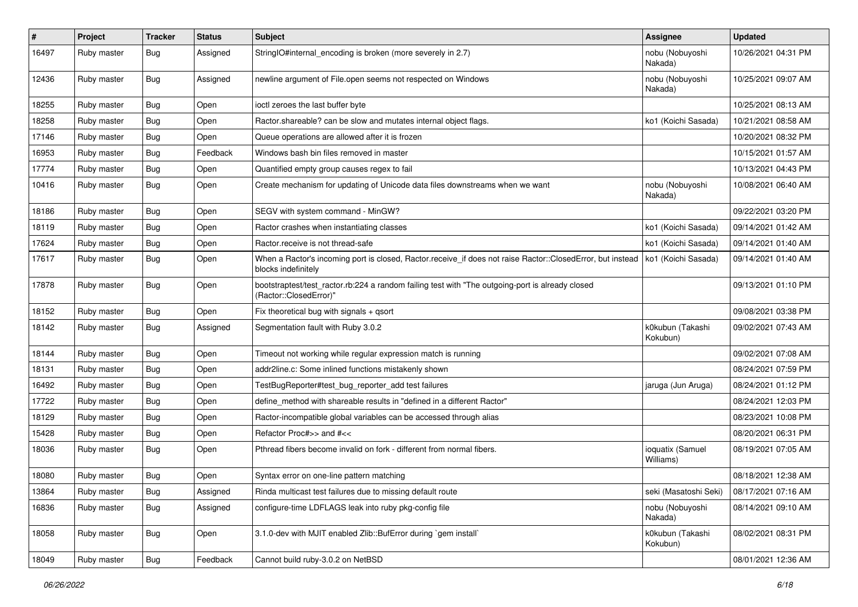| #     | Project     | <b>Tracker</b> | <b>Status</b> | <b>Subject</b>                                                                                                                                          | <b>Assignee</b>               | <b>Updated</b>      |
|-------|-------------|----------------|---------------|---------------------------------------------------------------------------------------------------------------------------------------------------------|-------------------------------|---------------------|
| 16497 | Ruby master | Bug            | Assigned      | StringIO#internal_encoding is broken (more severely in 2.7)                                                                                             | nobu (Nobuyoshi<br>Nakada)    | 10/26/2021 04:31 PM |
| 12436 | Ruby master | <b>Bug</b>     | Assigned      | newline argument of File.open seems not respected on Windows                                                                                            | nobu (Nobuyoshi<br>Nakada)    | 10/25/2021 09:07 AM |
| 18255 | Ruby master | <b>Bug</b>     | Open          | ioctl zeroes the last buffer byte                                                                                                                       |                               | 10/25/2021 08:13 AM |
| 18258 | Ruby master | <b>Bug</b>     | Open          | Ractor.shareable? can be slow and mutates internal object flags.                                                                                        | ko1 (Koichi Sasada)           | 10/21/2021 08:58 AM |
| 17146 | Ruby master | <b>Bug</b>     | Open          | Queue operations are allowed after it is frozen                                                                                                         |                               | 10/20/2021 08:32 PM |
| 16953 | Ruby master | <b>Bug</b>     | Feedback      | Windows bash bin files removed in master                                                                                                                |                               | 10/15/2021 01:57 AM |
| 17774 | Ruby master | Bug            | Open          | Quantified empty group causes regex to fail                                                                                                             |                               | 10/13/2021 04:43 PM |
| 10416 | Ruby master | <b>Bug</b>     | Open          | Create mechanism for updating of Unicode data files downstreams when we want                                                                            | nobu (Nobuyoshi<br>Nakada)    | 10/08/2021 06:40 AM |
| 18186 | Ruby master | <b>Bug</b>     | Open          | SEGV with system command - MinGW?                                                                                                                       |                               | 09/22/2021 03:20 PM |
| 18119 | Ruby master | <b>Bug</b>     | Open          | Ractor crashes when instantiating classes                                                                                                               | ko1 (Koichi Sasada)           | 09/14/2021 01:42 AM |
| 17624 | Ruby master | <b>Bug</b>     | Open          | Ractor.receive is not thread-safe                                                                                                                       | ko1 (Koichi Sasada)           | 09/14/2021 01:40 AM |
| 17617 | Ruby master | Bug            | Open          | When a Ractor's incoming port is closed, Ractor receive if does not raise Ractor::ClosedError, but instead   ko1 (Koichi Sasada)<br>blocks indefinitely |                               | 09/14/2021 01:40 AM |
| 17878 | Ruby master | <b>Bug</b>     | Open          | bootstraptest/test_ractor.rb:224 a random failing test with "The outgoing-port is already closed<br>(Ractor::ClosedError)"                              |                               | 09/13/2021 01:10 PM |
| 18152 | Ruby master | <b>Bug</b>     | Open          | Fix theoretical bug with signals $+$ qsort                                                                                                              |                               | 09/08/2021 03:38 PM |
| 18142 | Ruby master | Bug            | Assigned      | Segmentation fault with Ruby 3.0.2                                                                                                                      | k0kubun (Takashi<br>Kokubun)  | 09/02/2021 07:43 AM |
| 18144 | Ruby master | <b>Bug</b>     | Open          | Timeout not working while regular expression match is running                                                                                           |                               | 09/02/2021 07:08 AM |
| 18131 | Ruby master | <b>Bug</b>     | Open          | addr2line.c: Some inlined functions mistakenly shown                                                                                                    |                               | 08/24/2021 07:59 PM |
| 16492 | Ruby master | <b>Bug</b>     | Open          | TestBugReporter#test_bug_reporter_add test failures                                                                                                     | jaruga (Jun Aruga)            | 08/24/2021 01:12 PM |
| 17722 | Ruby master | Bug            | Open          | define_method with shareable results in "defined in a different Ractor"                                                                                 |                               | 08/24/2021 12:03 PM |
| 18129 | Ruby master | Bug            | Open          | Ractor-incompatible global variables can be accessed through alias                                                                                      |                               | 08/23/2021 10:08 PM |
| 15428 | Ruby master | Bug            | Open          | Refactor Proc#>> and #<<                                                                                                                                |                               | 08/20/2021 06:31 PM |
| 18036 | Ruby master | Bug            | Open          | Pthread fibers become invalid on fork - different from normal fibers.                                                                                   | ioquatix (Samuel<br>Williams) | 08/19/2021 07:05 AM |
| 18080 | Ruby master | Bug            | Open          | Syntax error on one-line pattern matching                                                                                                               |                               | 08/18/2021 12:38 AM |
| 13864 | Ruby master | <b>Bug</b>     | Assigned      | Rinda multicast test failures due to missing default route                                                                                              | seki (Masatoshi Seki)         | 08/17/2021 07:16 AM |
| 16836 | Ruby master | <b>Bug</b>     | Assigned      | configure-time LDFLAGS leak into ruby pkg-config file                                                                                                   | nobu (Nobuyoshi<br>Nakada)    | 08/14/2021 09:10 AM |
| 18058 | Ruby master | <b>Bug</b>     | Open          | 3.1.0-dev with MJIT enabled Zlib::BufError during `gem install`                                                                                         | k0kubun (Takashi<br>Kokubun)  | 08/02/2021 08:31 PM |
| 18049 | Ruby master | <b>Bug</b>     | Feedback      | Cannot build ruby-3.0.2 on NetBSD                                                                                                                       |                               | 08/01/2021 12:36 AM |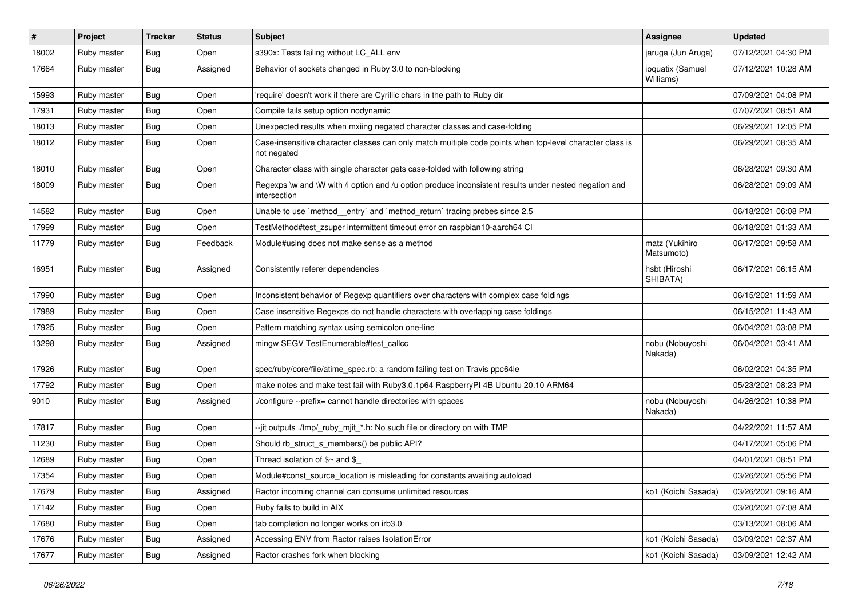| #     | Project     | <b>Tracker</b> | <b>Status</b> | <b>Subject</b>                                                                                                          | Assignee                      | <b>Updated</b>      |
|-------|-------------|----------------|---------------|-------------------------------------------------------------------------------------------------------------------------|-------------------------------|---------------------|
| 18002 | Ruby master | Bug            | Open          | s390x: Tests failing without LC_ALL env                                                                                 | jaruga (Jun Aruga)            | 07/12/2021 04:30 PM |
| 17664 | Ruby master | Bug            | Assigned      | Behavior of sockets changed in Ruby 3.0 to non-blocking                                                                 | ioquatix (Samuel<br>Williams) | 07/12/2021 10:28 AM |
| 15993 | Ruby master | Bug            | Open          | require' doesn't work if there are Cyrillic chars in the path to Ruby dir                                               |                               | 07/09/2021 04:08 PM |
| 17931 | Ruby master | <b>Bug</b>     | Open          | Compile fails setup option nodynamic                                                                                    |                               | 07/07/2021 08:51 AM |
| 18013 | Ruby master | Bug            | Open          | Unexpected results when mxiing negated character classes and case-folding                                               |                               | 06/29/2021 12:05 PM |
| 18012 | Ruby master | Bug            | Open          | Case-insensitive character classes can only match multiple code points when top-level character class is<br>not negated |                               | 06/29/2021 08:35 AM |
| 18010 | Ruby master | Bug            | Open          | Character class with single character gets case-folded with following string                                            |                               | 06/28/2021 09:30 AM |
| 18009 | Ruby master | Bug            | Open          | Regexps \w and \W with /i option and /u option produce inconsistent results under nested negation and<br>intersection   |                               | 06/28/2021 09:09 AM |
| 14582 | Ruby master | Bug            | Open          | Unable to use `method_entry` and `method_return` tracing probes since 2.5                                               |                               | 06/18/2021 06:08 PM |
| 17999 | Ruby master | <b>Bug</b>     | Open          | TestMethod#test_zsuper intermittent timeout error on raspbian10-aarch64 CI                                              |                               | 06/18/2021 01:33 AM |
| 11779 | Ruby master | Bug            | Feedback      | Module#using does not make sense as a method                                                                            | matz (Yukihiro<br>Matsumoto)  | 06/17/2021 09:58 AM |
| 16951 | Ruby master | <b>Bug</b>     | Assigned      | Consistently referer dependencies                                                                                       | hsbt (Hiroshi<br>SHIBATA)     | 06/17/2021 06:15 AM |
| 17990 | Ruby master | Bug            | Open          | Inconsistent behavior of Regexp quantifiers over characters with complex case foldings                                  |                               | 06/15/2021 11:59 AM |
| 17989 | Ruby master | Bug            | Open          | Case insensitive Regexps do not handle characters with overlapping case foldings                                        |                               | 06/15/2021 11:43 AM |
| 17925 | Ruby master | <b>Bug</b>     | Open          | Pattern matching syntax using semicolon one-line                                                                        |                               | 06/04/2021 03:08 PM |
| 13298 | Ruby master | <b>Bug</b>     | Assigned      | mingw SEGV TestEnumerable#test_callcc                                                                                   | nobu (Nobuyoshi<br>Nakada)    | 06/04/2021 03:41 AM |
| 17926 | Ruby master | Bug            | Open          | spec/ruby/core/file/atime_spec.rb: a random failing test on Travis ppc64le                                              |                               | 06/02/2021 04:35 PM |
| 17792 | Ruby master | <b>Bug</b>     | Open          | make notes and make test fail with Ruby3.0.1p64 RaspberryPI 4B Ubuntu 20.10 ARM64                                       |                               | 05/23/2021 08:23 PM |
| 9010  | Ruby master | Bug            | Assigned      | /configure --prefix= cannot handle directories with spaces                                                              | nobu (Nobuyoshi<br>Nakada)    | 04/26/2021 10:38 PM |
| 17817 | Ruby master | Bug            | Open          | --jit outputs ./tmp/_ruby_mjit_*.h: No such file or directory on with TMP                                               |                               | 04/22/2021 11:57 AM |
| 11230 | Ruby master | Bug            | Open          | Should rb_struct_s_members() be public API?                                                                             |                               | 04/17/2021 05:06 PM |
| 12689 | Ruby master | Bug            | Open          | Thread isolation of $$~$ and \$                                                                                         |                               | 04/01/2021 08:51 PM |
| 17354 | Ruby master | Bug            | Open          | Module#const_source_location is misleading for constants awaiting autoload                                              |                               | 03/26/2021 05:56 PM |
| 17679 | Ruby master | <b>Bug</b>     | Assigned      | Ractor incoming channel can consume unlimited resources                                                                 | ko1 (Koichi Sasada)           | 03/26/2021 09:16 AM |
| 17142 | Ruby master | <b>Bug</b>     | Open          | Ruby fails to build in AIX                                                                                              |                               | 03/20/2021 07:08 AM |
| 17680 | Ruby master | Bug            | Open          | tab completion no longer works on irb3.0                                                                                |                               | 03/13/2021 08:06 AM |
| 17676 | Ruby master | <b>Bug</b>     | Assigned      | Accessing ENV from Ractor raises IsolationError                                                                         | ko1 (Koichi Sasada)           | 03/09/2021 02:37 AM |
| 17677 | Ruby master | <b>Bug</b>     | Assigned      | Ractor crashes fork when blocking                                                                                       | ko1 (Koichi Sasada)           | 03/09/2021 12:42 AM |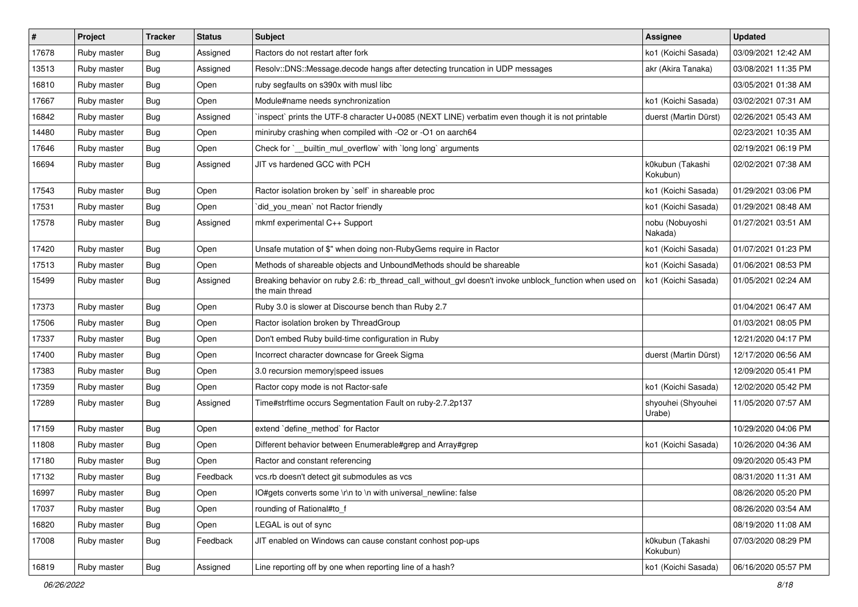| $\vert$ # | Project     | <b>Tracker</b> | <b>Status</b> | <b>Subject</b>                                                                                                            | <b>Assignee</b>              | <b>Updated</b>      |
|-----------|-------------|----------------|---------------|---------------------------------------------------------------------------------------------------------------------------|------------------------------|---------------------|
| 17678     | Ruby master | Bug            | Assigned      | Ractors do not restart after fork                                                                                         | ko1 (Koichi Sasada)          | 03/09/2021 12:42 AM |
| 13513     | Ruby master | Bug            | Assigned      | Resolv::DNS::Message.decode hangs after detecting truncation in UDP messages                                              | akr (Akira Tanaka)           | 03/08/2021 11:35 PM |
| 16810     | Ruby master | <b>Bug</b>     | Open          | ruby segfaults on s390x with musl libc                                                                                    |                              | 03/05/2021 01:38 AM |
| 17667     | Ruby master | Bug            | Open          | Module#name needs synchronization                                                                                         | ko1 (Koichi Sasada)          | 03/02/2021 07:31 AM |
| 16842     | Ruby master | <b>Bug</b>     | Assigned      | inspect` prints the UTF-8 character U+0085 (NEXT LINE) verbatim even though it is not printable                           | duerst (Martin Dürst)        | 02/26/2021 05:43 AM |
| 14480     | Ruby master | Bug            | Open          | miniruby crashing when compiled with -O2 or -O1 on aarch64                                                                |                              | 02/23/2021 10:35 AM |
| 17646     | Ruby master | <b>Bug</b>     | Open          | Check for `_builtin_mul_overflow` with `long long` arguments                                                              |                              | 02/19/2021 06:19 PM |
| 16694     | Ruby master | <b>Bug</b>     | Assigned      | JIT vs hardened GCC with PCH                                                                                              | k0kubun (Takashi<br>Kokubun) | 02/02/2021 07:38 AM |
| 17543     | Ruby master | Bug            | Open          | Ractor isolation broken by `self` in shareable proc                                                                       | ko1 (Koichi Sasada)          | 01/29/2021 03:06 PM |
| 17531     | Ruby master | Bug            | Open          | did_you_mean` not Ractor friendly                                                                                         | ko1 (Koichi Sasada)          | 01/29/2021 08:48 AM |
| 17578     | Ruby master | Bug            | Assigned      | mkmf experimental C++ Support                                                                                             | nobu (Nobuyoshi<br>Nakada)   | 01/27/2021 03:51 AM |
| 17420     | Ruby master | Bug            | Open          | Unsafe mutation of \$" when doing non-RubyGems require in Ractor                                                          | ko1 (Koichi Sasada)          | 01/07/2021 01:23 PM |
| 17513     | Ruby master | <b>Bug</b>     | Open          | Methods of shareable objects and UnboundMethods should be shareable                                                       | ko1 (Koichi Sasada)          | 01/06/2021 08:53 PM |
| 15499     | Ruby master | <b>Bug</b>     | Assigned      | Breaking behavior on ruby 2.6: rb_thread_call_without_gvl doesn't invoke unblock_function when used on<br>the main thread | ko1 (Koichi Sasada)          | 01/05/2021 02:24 AM |
| 17373     | Ruby master | Bug            | Open          | Ruby 3.0 is slower at Discourse bench than Ruby 2.7                                                                       |                              | 01/04/2021 06:47 AM |
| 17506     | Ruby master | <b>Bug</b>     | Open          | Ractor isolation broken by ThreadGroup                                                                                    |                              | 01/03/2021 08:05 PM |
| 17337     | Ruby master | Bug            | Open          | Don't embed Ruby build-time configuration in Ruby                                                                         |                              | 12/21/2020 04:17 PM |
| 17400     | Ruby master | <b>Bug</b>     | Open          | Incorrect character downcase for Greek Sigma                                                                              | duerst (Martin Dürst)        | 12/17/2020 06:56 AM |
| 17383     | Ruby master | Bug            | Open          | 3.0 recursion memory speed issues                                                                                         |                              | 12/09/2020 05:41 PM |
| 17359     | Ruby master | Bug            | Open          | Ractor copy mode is not Ractor-safe                                                                                       | ko1 (Koichi Sasada)          | 12/02/2020 05:42 PM |
| 17289     | Ruby master | <b>Bug</b>     | Assigned      | Time#strftime occurs Segmentation Fault on ruby-2.7.2p137                                                                 | shyouhei (Shyouhei<br>Urabe) | 11/05/2020 07:57 AM |
| 17159     | Ruby master | <b>Bug</b>     | Open          | extend 'define_method' for Ractor                                                                                         |                              | 10/29/2020 04:06 PM |
| 11808     | Ruby master | Bug            | Open          | Different behavior between Enumerable#grep and Array#grep                                                                 | ko1 (Koichi Sasada)          | 10/26/2020 04:36 AM |
| 17180     | Ruby master | <b>Bug</b>     | Open          | Ractor and constant referencing                                                                                           |                              | 09/20/2020 05:43 PM |
| 17132     | Ruby master | <b>Bug</b>     | Feedback      | vcs.rb doesn't detect git submodules as vcs                                                                               |                              | 08/31/2020 11:31 AM |
| 16997     | Ruby master | <b>Bug</b>     | Open          | IO#gets converts some \r\n to \n with universal newline: false                                                            |                              | 08/26/2020 05:20 PM |
| 17037     | Ruby master | <b>Bug</b>     | Open          | rounding of Rational#to f                                                                                                 |                              | 08/26/2020 03:54 AM |
| 16820     | Ruby master | <b>Bug</b>     | Open          | LEGAL is out of sync                                                                                                      |                              | 08/19/2020 11:08 AM |
| 17008     | Ruby master | <b>Bug</b>     | Feedback      | JIT enabled on Windows can cause constant conhost pop-ups                                                                 | k0kubun (Takashi<br>Kokubun) | 07/03/2020 08:29 PM |
| 16819     | Ruby master | Bug            | Assigned      | Line reporting off by one when reporting line of a hash?                                                                  | ko1 (Koichi Sasada)          | 06/16/2020 05:57 PM |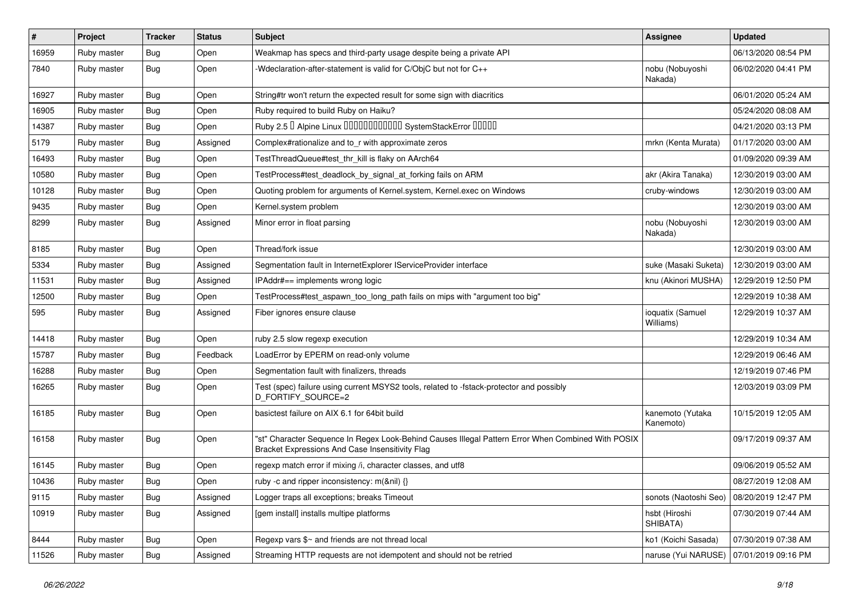| $\pmb{\#}$ | Project     | <b>Tracker</b>   | <b>Status</b> | <b>Subject</b>                                                                                                                                        | <b>Assignee</b>                           | <b>Updated</b>      |
|------------|-------------|------------------|---------------|-------------------------------------------------------------------------------------------------------------------------------------------------------|-------------------------------------------|---------------------|
| 16959      | Ruby master | Bug              | Open          | Weakmap has specs and third-party usage despite being a private API                                                                                   |                                           | 06/13/2020 08:54 PM |
| 7840       | Ruby master | Bug              | Open          | -Wdeclaration-after-statement is valid for C/ObjC but not for C++                                                                                     | nobu (Nobuyoshi<br>Nakada)                | 06/02/2020 04:41 PM |
| 16927      | Ruby master | <b>Bug</b>       | Open          | String#tr won't return the expected result for some sign with diacritics                                                                              |                                           | 06/01/2020 05:24 AM |
| 16905      | Ruby master | Bug              | Open          | Ruby required to build Ruby on Haiku?                                                                                                                 |                                           | 05/24/2020 08:08 AM |
| 14387      | Ruby master | <b>Bug</b>       | Open          | Ruby 2.5 <sup>D</sup> Alpine Linux 000000000000 SystemStackError 00000                                                                                |                                           | 04/21/2020 03:13 PM |
| 5179       | Ruby master | <b>Bug</b>       | Assigned      | Complex#rationalize and to_r with approximate zeros                                                                                                   | mrkn (Kenta Murata)                       | 01/17/2020 03:00 AM |
| 16493      | Ruby master | Bug              | Open          | TestThreadQueue#test_thr_kill is flaky on AArch64                                                                                                     |                                           | 01/09/2020 09:39 AM |
| 10580      | Ruby master | <b>Bug</b>       | Open          | TestProcess#test_deadlock_by_signal_at_forking fails on ARM                                                                                           | akr (Akira Tanaka)                        | 12/30/2019 03:00 AM |
| 10128      | Ruby master | Bug              | Open          | Quoting problem for arguments of Kernel.system, Kernel.exec on Windows                                                                                | cruby-windows                             | 12/30/2019 03:00 AM |
| 9435       | Ruby master | <b>Bug</b>       | Open          | Kernel.system problem                                                                                                                                 |                                           | 12/30/2019 03:00 AM |
| 8299       | Ruby master | <b>Bug</b>       | Assigned      | Minor error in float parsing                                                                                                                          | nobu (Nobuyoshi<br>Nakada)                | 12/30/2019 03:00 AM |
| 8185       | Ruby master | Bug              | Open          | Thread/fork issue                                                                                                                                     |                                           | 12/30/2019 03:00 AM |
| 5334       | Ruby master | <b>Bug</b>       | Assigned      | Segmentation fault in InternetExplorer IServiceProvider interface                                                                                     | suke (Masaki Suketa)                      | 12/30/2019 03:00 AM |
| 11531      | Ruby master | <b>Bug</b>       | Assigned      | IPAddr#== implements wrong logic                                                                                                                      | knu (Akinori MUSHA)                       | 12/29/2019 12:50 PM |
| 12500      | Ruby master | <b>Bug</b>       | Open          | TestProcess#test_aspawn_too_long_path fails on mips with "argument too big"                                                                           |                                           | 12/29/2019 10:38 AM |
| 595        | Ruby master | Bug              | Assigned      | Fiber ignores ensure clause                                                                                                                           | ioquatix (Samuel<br>Williams)             | 12/29/2019 10:37 AM |
| 14418      | Ruby master | Bug              | Open          | ruby 2.5 slow regexp execution                                                                                                                        |                                           | 12/29/2019 10:34 AM |
| 15787      | Ruby master | Bug              | Feedback      | LoadError by EPERM on read-only volume                                                                                                                |                                           | 12/29/2019 06:46 AM |
| 16288      | Ruby master | <b>Bug</b>       | Open          | Segmentation fault with finalizers, threads                                                                                                           |                                           | 12/19/2019 07:46 PM |
| 16265      | Ruby master | <b>Bug</b>       | Open          | Test (spec) failure using current MSYS2 tools, related to -fstack-protector and possibly<br>D_FORTIFY_SOURCE=2                                        |                                           | 12/03/2019 03:09 PM |
| 16185      | Ruby master | Bug              | Open          | basictest failure on AIX 6.1 for 64bit build                                                                                                          | kanemoto (Yutaka<br>Kanemoto)             | 10/15/2019 12:05 AM |
| 16158      | Ruby master | Bug              | Open          | "st" Character Sequence In Regex Look-Behind Causes Illegal Pattern Error When Combined With POSIX<br>Bracket Expressions And Case Insensitivity Flag |                                           | 09/17/2019 09:37 AM |
| 16145      | Ruby master | Bug              | Open          | regexp match error if mixing /i, character classes, and utf8                                                                                          |                                           | 09/06/2019 05:52 AM |
| 10436      | Ruby master | <sub>i</sub> Bug | Open          | ruby -c and ripper inconsistency: m(&nil) {}                                                                                                          |                                           | 08/27/2019 12:08 AM |
| 9115       | Ruby master | <b>Bug</b>       | Assigned      | Logger traps all exceptions; breaks Timeout                                                                                                           | sonots (Naotoshi Seo)                     | 08/20/2019 12:47 PM |
| 10919      | Ruby master | <b>Bug</b>       | Assigned      | [gem install] installs multipe platforms                                                                                                              | hsbt (Hiroshi<br>SHIBATA)                 | 07/30/2019 07:44 AM |
| 8444       | Ruby master | <b>Bug</b>       | Open          | Regexp vars \$~ and friends are not thread local                                                                                                      | ko1 (Koichi Sasada)                       | 07/30/2019 07:38 AM |
| 11526      | Ruby master | <b>Bug</b>       | Assigned      | Streaming HTTP requests are not idempotent and should not be retried                                                                                  | naruse (Yui NARUSE)   07/01/2019 09:16 PM |                     |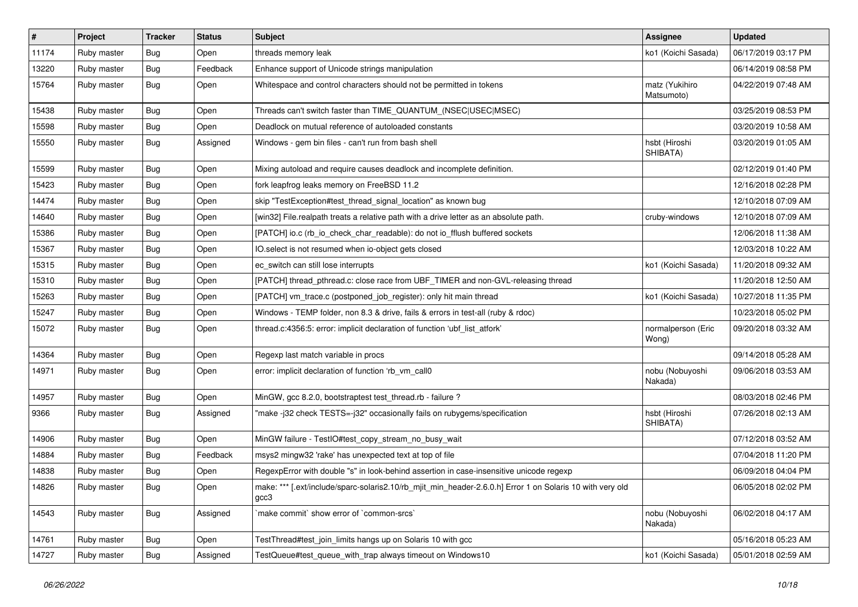| $\pmb{\#}$ | Project     | <b>Tracker</b> | <b>Status</b> | <b>Subject</b>                                                                                                       | <b>Assignee</b>              | <b>Updated</b>      |
|------------|-------------|----------------|---------------|----------------------------------------------------------------------------------------------------------------------|------------------------------|---------------------|
| 11174      | Ruby master | Bug            | Open          | threads memory leak                                                                                                  | ko1 (Koichi Sasada)          | 06/17/2019 03:17 PM |
| 13220      | Ruby master | <b>Bug</b>     | Feedback      | Enhance support of Unicode strings manipulation                                                                      |                              | 06/14/2019 08:58 PM |
| 15764      | Ruby master | Bug            | Open          | Whitespace and control characters should not be permitted in tokens                                                  | matz (Yukihiro<br>Matsumoto) | 04/22/2019 07:48 AM |
| 15438      | Ruby master | Bug            | Open          | Threads can't switch faster than TIME_QUANTUM_(NSEC USEC MSEC)                                                       |                              | 03/25/2019 08:53 PM |
| 15598      | Ruby master | Bug            | Open          | Deadlock on mutual reference of autoloaded constants                                                                 |                              | 03/20/2019 10:58 AM |
| 15550      | Ruby master | Bug            | Assigned      | Windows - gem bin files - can't run from bash shell                                                                  | hsbt (Hiroshi<br>SHIBATA)    | 03/20/2019 01:05 AM |
| 15599      | Ruby master | Bug            | Open          | Mixing autoload and require causes deadlock and incomplete definition.                                               |                              | 02/12/2019 01:40 PM |
| 15423      | Ruby master | Bug            | Open          | fork leapfrog leaks memory on FreeBSD 11.2                                                                           |                              | 12/16/2018 02:28 PM |
| 14474      | Ruby master | Bug            | Open          | skip "TestException#test_thread_signal_location" as known bug                                                        |                              | 12/10/2018 07:09 AM |
| 14640      | Ruby master | <b>Bug</b>     | Open          | [win32] File.realpath treats a relative path with a drive letter as an absolute path.                                | cruby-windows                | 12/10/2018 07:09 AM |
| 15386      | Ruby master | Bug            | Open          | [PATCH] io.c (rb_io_check_char_readable): do not io_fflush buffered sockets                                          |                              | 12/06/2018 11:38 AM |
| 15367      | Ruby master | <b>Bug</b>     | Open          | IO.select is not resumed when io-object gets closed                                                                  |                              | 12/03/2018 10:22 AM |
| 15315      | Ruby master | Bug            | Open          | ec_switch can still lose interrupts                                                                                  | ko1 (Koichi Sasada)          | 11/20/2018 09:32 AM |
| 15310      | Ruby master | <b>Bug</b>     | Open          | [PATCH] thread_pthread.c: close race from UBF_TIMER and non-GVL-releasing thread                                     |                              | 11/20/2018 12:50 AM |
| 15263      | Ruby master | <b>Bug</b>     | Open          | [PATCH] vm_trace.c (postponed_job_register): only hit main thread                                                    | ko1 (Koichi Sasada)          | 10/27/2018 11:35 PM |
| 15247      | Ruby master | Bug            | Open          | Windows - TEMP folder, non 8.3 & drive, fails & errors in test-all (ruby & rdoc)                                     |                              | 10/23/2018 05:02 PM |
| 15072      | Ruby master | Bug            | Open          | thread.c:4356:5: error: implicit declaration of function 'ubf_list_atfork'                                           | normalperson (Eric<br>Wong)  | 09/20/2018 03:32 AM |
| 14364      | Ruby master | Bug            | Open          | Regexp last match variable in procs                                                                                  |                              | 09/14/2018 05:28 AM |
| 14971      | Ruby master | Bug            | Open          | error: implicit declaration of function 'rb_vm_call0                                                                 | nobu (Nobuyoshi<br>Nakada)   | 09/06/2018 03:53 AM |
| 14957      | Ruby master | Bug            | Open          | MinGW, gcc 8.2.0, bootstraptest test_thread.rb - failure ?                                                           |                              | 08/03/2018 02:46 PM |
| 9366       | Ruby master | Bug            | Assigned      | "make -j32 check TESTS=-j32" occasionally fails on rubygems/specification                                            | hsbt (Hiroshi<br>SHIBATA)    | 07/26/2018 02:13 AM |
| 14906      | Ruby master | Bug            | Open          | MinGW failure - TestIO#test_copy_stream_no_busy_wait                                                                 |                              | 07/12/2018 03:52 AM |
| 14884      | Ruby master | <b>Bug</b>     | Feedback      | msys2 mingw32 'rake' has unexpected text at top of file                                                              |                              | 07/04/2018 11:20 PM |
| 14838      | Ruby master | Bug            | Open          | RegexpError with double "s" in look-behind assertion in case-insensitive unicode regexp                              |                              | 06/09/2018 04:04 PM |
| 14826      | Ruby master | <b>Bug</b>     | Open          | [.ext/include/sparc-solaris2.10/rb_mjit_min_header-2.6.0.h] Error 1 on Solaris 10 with very old<br>make: ***<br>gcc3 |                              | 06/05/2018 02:02 PM |
| 14543      | Ruby master | <b>Bug</b>     | Assigned      | 'make commit' show error of 'common-srcs'                                                                            | nobu (Nobuyoshi<br>Nakada)   | 06/02/2018 04:17 AM |
| 14761      | Ruby master | <b>Bug</b>     | Open          | TestThread#test_join_limits hangs up on Solaris 10 with gcc                                                          |                              | 05/16/2018 05:23 AM |
| 14727      | Ruby master | <b>Bug</b>     | Assigned      | TestQueue#test_queue_with_trap always timeout on Windows10                                                           | ko1 (Koichi Sasada)          | 05/01/2018 02:59 AM |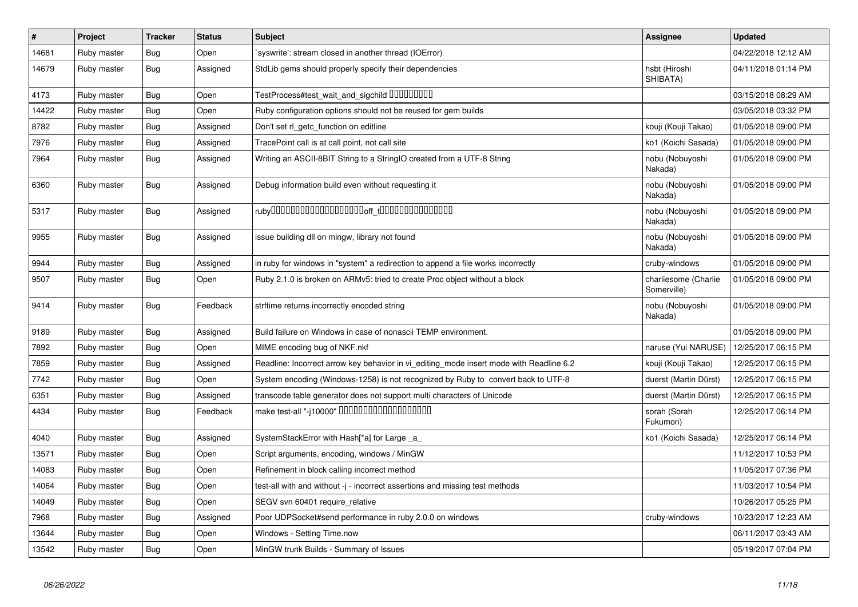| $\vert$ # | Project     | <b>Tracker</b> | <b>Status</b> | <b>Subject</b>                                                                          | <b>Assignee</b>                     | <b>Updated</b>      |
|-----------|-------------|----------------|---------------|-----------------------------------------------------------------------------------------|-------------------------------------|---------------------|
| 14681     | Ruby master | Bug            | Open          | syswrite': stream closed in another thread (IOError)                                    |                                     | 04/22/2018 12:12 AM |
| 14679     | Ruby master | <b>Bug</b>     | Assigned      | StdLib gems should properly specify their dependencies                                  | hsbt (Hiroshi<br>SHIBATA)           | 04/11/2018 01:14 PM |
| 4173      | Ruby master | Bug            | Open          | TestProcess#test_wait_and_sigchild 00000000                                             |                                     | 03/15/2018 08:29 AM |
| 14422     | Ruby master | <b>Bug</b>     | Open          | Ruby configuration options should not be reused for gem builds                          |                                     | 03/05/2018 03:32 PM |
| 8782      | Ruby master | <b>Bug</b>     | Assigned      | Don't set rl_getc_function on editline                                                  | kouji (Kouji Takao)                 | 01/05/2018 09:00 PM |
| 7976      | Ruby master | Bug            | Assigned      | TracePoint call is at call point, not call site                                         | ko1 (Koichi Sasada)                 | 01/05/2018 09:00 PM |
| 7964      | Ruby master | <b>Bug</b>     | Assigned      | Writing an ASCII-8BIT String to a StringIO created from a UTF-8 String                  | nobu (Nobuyoshi<br>Nakada)          | 01/05/2018 09:00 PM |
| 6360      | Ruby master | <b>Bug</b>     | Assigned      | Debug information build even without requesting it                                      | nobu (Nobuyoshi<br>Nakada)          | 01/05/2018 09:00 PM |
| 5317      | Ruby master | <b>Bug</b>     | Assigned      |                                                                                         | nobu (Nobuyoshi<br>Nakada)          | 01/05/2018 09:00 PM |
| 9955      | Ruby master | Bug            | Assigned      | issue building dll on mingw, library not found                                          | nobu (Nobuyoshi<br>Nakada)          | 01/05/2018 09:00 PM |
| 9944      | Ruby master | <b>Bug</b>     | Assigned      | in ruby for windows in "system" a redirection to append a file works incorrectly        | cruby-windows                       | 01/05/2018 09:00 PM |
| 9507      | Ruby master | Bug            | Open          | Ruby 2.1.0 is broken on ARMv5: tried to create Proc object without a block              | charliesome (Charlie<br>Somerville) | 01/05/2018 09:00 PM |
| 9414      | Ruby master | <b>Bug</b>     | Feedback      | strftime returns incorrectly encoded string                                             | nobu (Nobuyoshi<br>Nakada)          | 01/05/2018 09:00 PM |
| 9189      | Ruby master | <b>Bug</b>     | Assigned      | Build failure on Windows in case of nonascii TEMP environment.                          |                                     | 01/05/2018 09:00 PM |
| 7892      | Ruby master | <b>Bug</b>     | Open          | MIME encoding bug of NKF.nkf                                                            | naruse (Yui NARUSE)                 | 12/25/2017 06:15 PM |
| 7859      | Ruby master | <b>Bug</b>     | Assigned      | Readline: Incorrect arrow key behavior in vi_editing_mode insert mode with Readline 6.2 | kouji (Kouji Takao)                 | 12/25/2017 06:15 PM |
| 7742      | Ruby master | Bug            | Open          | System encoding (Windows-1258) is not recognized by Ruby to convert back to UTF-8       | duerst (Martin Dürst)               | 12/25/2017 06:15 PM |
| 6351      | Ruby master | <b>Bug</b>     | Assigned      | transcode table generator does not support multi characters of Unicode                  | duerst (Martin Dürst)               | 12/25/2017 06:15 PM |
| 4434      | Ruby master | <b>Bug</b>     | Feedback      |                                                                                         | sorah (Sorah<br>Fukumori)           | 12/25/2017 06:14 PM |
| 4040      | Ruby master | <b>Bug</b>     | Assigned      | SystemStackError with Hash[*a] for Large _a_                                            | ko1 (Koichi Sasada)                 | 12/25/2017 06:14 PM |
| 13571     | Ruby master | <b>Bug</b>     | Open          | Script arguments, encoding, windows / MinGW                                             |                                     | 11/12/2017 10:53 PM |
| 14083     | Ruby master | <b>Bug</b>     | Open          | Refinement in block calling incorrect method                                            |                                     | 11/05/2017 07:36 PM |
| 14064     | Ruby master | Bug            | Open          | test-all with and without -j - incorrect assertions and missing test methods            |                                     | 11/03/2017 10:54 PM |
| 14049     | Ruby master | <b>Bug</b>     | Open          | SEGV svn 60401 require relative                                                         |                                     | 10/26/2017 05:25 PM |
| 7968      | Ruby master | Bug            | Assigned      | Poor UDPSocket#send performance in ruby 2.0.0 on windows                                | cruby-windows                       | 10/23/2017 12:23 AM |
| 13644     | Ruby master | Bug            | Open          | Windows - Setting Time.now                                                              |                                     | 06/11/2017 03:43 AM |
| 13542     | Ruby master | <b>Bug</b>     | Open          | MinGW trunk Builds - Summary of Issues                                                  |                                     | 05/19/2017 07:04 PM |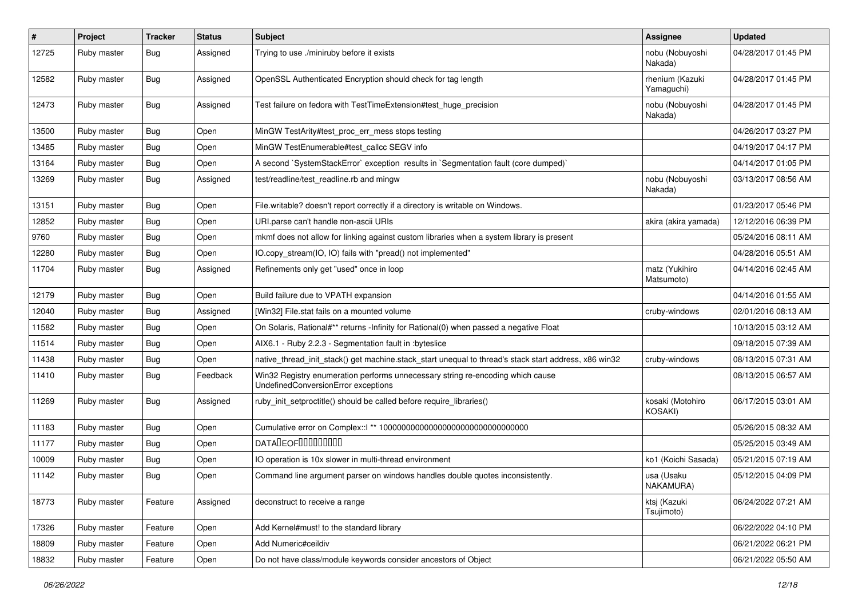| $\sharp$ | Project     | <b>Tracker</b> | <b>Status</b> | <b>Subject</b>                                                                                                        | Assignee                      | <b>Updated</b>      |
|----------|-------------|----------------|---------------|-----------------------------------------------------------------------------------------------------------------------|-------------------------------|---------------------|
| 12725    | Ruby master | Bug            | Assigned      | Trying to use ./miniruby before it exists                                                                             | nobu (Nobuyoshi<br>Nakada)    | 04/28/2017 01:45 PM |
| 12582    | Ruby master | Bug            | Assigned      | OpenSSL Authenticated Encryption should check for tag length                                                          | rhenium (Kazuki<br>Yamaguchi) | 04/28/2017 01:45 PM |
| 12473    | Ruby master | <b>Bug</b>     | Assigned      | Test failure on fedora with TestTimeExtension#test_huge_precision                                                     | nobu (Nobuyoshi<br>Nakada)    | 04/28/2017 01:45 PM |
| 13500    | Ruby master | Bug            | Open          | MinGW TestArity#test_proc_err_mess stops testing                                                                      |                               | 04/26/2017 03:27 PM |
| 13485    | Ruby master | Bug            | Open          | MinGW TestEnumerable#test_callcc SEGV info                                                                            |                               | 04/19/2017 04:17 PM |
| 13164    | Ruby master | Bug            | Open          | A second `SystemStackError` exception results in `Segmentation fault (core dumped)`                                   |                               | 04/14/2017 01:05 PM |
| 13269    | Ruby master | Bug            | Assigned      | test/readline/test readline.rb and mingw                                                                              | nobu (Nobuyoshi<br>Nakada)    | 03/13/2017 08:56 AM |
| 13151    | Ruby master | Bug            | Open          | File.writable? doesn't report correctly if a directory is writable on Windows.                                        |                               | 01/23/2017 05:46 PM |
| 12852    | Ruby master | Bug            | Open          | URI.parse can't handle non-ascii URIs                                                                                 | akira (akira yamada)          | 12/12/2016 06:39 PM |
| 9760     | Ruby master | Bug            | Open          | mkmf does not allow for linking against custom libraries when a system library is present                             |                               | 05/24/2016 08:11 AM |
| 12280    | Ruby master | Bug            | Open          | IO.copy_stream(IO, IO) fails with "pread() not implemented"                                                           |                               | 04/28/2016 05:51 AM |
| 11704    | Ruby master | <b>Bug</b>     | Assigned      | Refinements only get "used" once in loop                                                                              | matz (Yukihiro<br>Matsumoto)  | 04/14/2016 02:45 AM |
| 12179    | Ruby master | Bug            | Open          | Build failure due to VPATH expansion                                                                                  |                               | 04/14/2016 01:55 AM |
| 12040    | Ruby master | Bug            | Assigned      | [Win32] File.stat fails on a mounted volume                                                                           | cruby-windows                 | 02/01/2016 08:13 AM |
| 11582    | Ruby master | <b>Bug</b>     | Open          | On Solaris, Rational#** returns -Infinity for Rational(0) when passed a negative Float                                |                               | 10/13/2015 03:12 AM |
| 11514    | Ruby master | Bug            | Open          | AIX6.1 - Ruby 2.2.3 - Segmentation fault in :byteslice                                                                |                               | 09/18/2015 07:39 AM |
| 11438    | Ruby master | <b>Bug</b>     | Open          | native_thread_init_stack() get machine.stack_start unequal to thread's stack start address, x86 win32                 | cruby-windows                 | 08/13/2015 07:31 AM |
| 11410    | Ruby master | Bug            | Feedback      | Win32 Registry enumeration performs unnecessary string re-encoding which cause<br>UndefinedConversionError exceptions |                               | 08/13/2015 06:57 AM |
| 11269    | Ruby master | Bug            | Assigned      | ruby_init_setproctitle() should be called before require_libraries()                                                  | kosaki (Motohiro<br>KOSAKI)   | 06/17/2015 03:01 AM |
| 11183    | Ruby master | Bug            | Open          |                                                                                                                       |                               | 05/26/2015 08:32 AM |
| 11177    | Ruby master | Bug            | Open          | DATADEOF00000000                                                                                                      |                               | 05/25/2015 03:49 AM |
| 10009    | Ruby master | Bug            | Open          | IO operation is 10x slower in multi-thread environment                                                                | ko1 (Koichi Sasada)           | 05/21/2015 07:19 AM |
| 11142    | Ruby master | Bug            | Open          | Command line argument parser on windows handles double quotes inconsistently.                                         | usa (Usaku<br>NAKAMURA)       | 05/12/2015 04:09 PM |
| 18773    | Ruby master | Feature        | Assigned      | deconstruct to receive a range                                                                                        | ktsj (Kazuki<br>Tsujimoto)    | 06/24/2022 07:21 AM |
| 17326    | Ruby master | Feature        | Open          | Add Kernel#must! to the standard library                                                                              |                               | 06/22/2022 04:10 PM |
| 18809    | Ruby master | Feature        | Open          | Add Numeric#ceildiv                                                                                                   |                               | 06/21/2022 06:21 PM |
| 18832    | Ruby master | Feature        | Open          | Do not have class/module keywords consider ancestors of Object                                                        |                               | 06/21/2022 05:50 AM |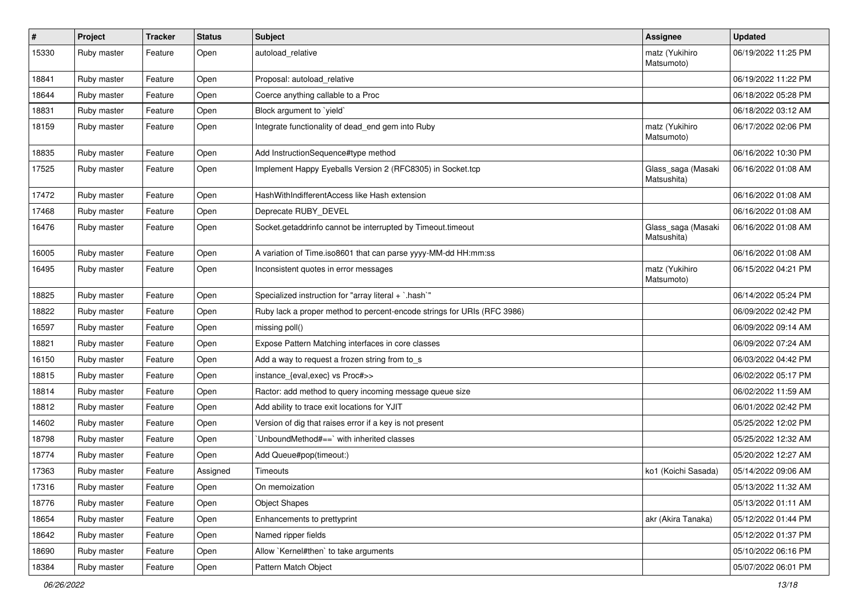| $\sharp$ | Project     | <b>Tracker</b> | <b>Status</b> | <b>Subject</b>                                                          | <b>Assignee</b>                   | <b>Updated</b>      |
|----------|-------------|----------------|---------------|-------------------------------------------------------------------------|-----------------------------------|---------------------|
| 15330    | Ruby master | Feature        | Open          | autoload_relative                                                       | matz (Yukihiro<br>Matsumoto)      | 06/19/2022 11:25 PM |
| 18841    | Ruby master | Feature        | Open          | Proposal: autoload relative                                             |                                   | 06/19/2022 11:22 PM |
| 18644    | Ruby master | Feature        | Open          | Coerce anything callable to a Proc                                      |                                   | 06/18/2022 05:28 PM |
| 18831    | Ruby master | Feature        | Open          | Block argument to 'yield'                                               |                                   | 06/18/2022 03:12 AM |
| 18159    | Ruby master | Feature        | Open          | Integrate functionality of dead_end gem into Ruby                       | matz (Yukihiro<br>Matsumoto)      | 06/17/2022 02:06 PM |
| 18835    | Ruby master | Feature        | Open          | Add InstructionSequence#type method                                     |                                   | 06/16/2022 10:30 PM |
| 17525    | Ruby master | Feature        | Open          | Implement Happy Eyeballs Version 2 (RFC8305) in Socket.tcp              | Glass_saga (Masaki<br>Matsushita) | 06/16/2022 01:08 AM |
| 17472    | Ruby master | Feature        | Open          | HashWithIndifferentAccess like Hash extension                           |                                   | 06/16/2022 01:08 AM |
| 17468    | Ruby master | Feature        | Open          | Deprecate RUBY_DEVEL                                                    |                                   | 06/16/2022 01:08 AM |
| 16476    | Ruby master | Feature        | Open          | Socket.getaddrinfo cannot be interrupted by Timeout.timeout             | Glass_saga (Masaki<br>Matsushita) | 06/16/2022 01:08 AM |
| 16005    | Ruby master | Feature        | Open          | A variation of Time.iso8601 that can parse yyyy-MM-dd HH:mm:ss          |                                   | 06/16/2022 01:08 AM |
| 16495    | Ruby master | Feature        | Open          | Inconsistent quotes in error messages                                   | matz (Yukihiro<br>Matsumoto)      | 06/15/2022 04:21 PM |
| 18825    | Ruby master | Feature        | Open          | Specialized instruction for "array literal + `.hash`"                   |                                   | 06/14/2022 05:24 PM |
| 18822    | Ruby master | Feature        | Open          | Ruby lack a proper method to percent-encode strings for URIs (RFC 3986) |                                   | 06/09/2022 02:42 PM |
| 16597    | Ruby master | Feature        | Open          | missing poll()                                                          |                                   | 06/09/2022 09:14 AM |
| 18821    | Ruby master | Feature        | Open          | Expose Pattern Matching interfaces in core classes                      |                                   | 06/09/2022 07:24 AM |
| 16150    | Ruby master | Feature        | Open          | Add a way to request a frozen string from to_s                          |                                   | 06/03/2022 04:42 PM |
| 18815    | Ruby master | Feature        | Open          | instance_{eval,exec} vs Proc#>>                                         |                                   | 06/02/2022 05:17 PM |
| 18814    | Ruby master | Feature        | Open          | Ractor: add method to query incoming message queue size                 |                                   | 06/02/2022 11:59 AM |
| 18812    | Ruby master | Feature        | Open          | Add ability to trace exit locations for YJIT                            |                                   | 06/01/2022 02:42 PM |
| 14602    | Ruby master | Feature        | Open          | Version of dig that raises error if a key is not present                |                                   | 05/25/2022 12:02 PM |
| 18798    | Ruby master | Feature        | Open          | 'UnboundMethod#==' with inherited classes                               |                                   | 05/25/2022 12:32 AM |
| 18774    | Ruby master | Feature        | Open          | Add Queue#pop(timeout:)                                                 |                                   | 05/20/2022 12:27 AM |
| 17363    | Ruby master | Feature        | Assigned      | Timeouts                                                                | ko1 (Koichi Sasada)               | 05/14/2022 09:06 AM |
| 17316    | Ruby master | Feature        | Open          | On memoization                                                          |                                   | 05/13/2022 11:32 AM |
| 18776    | Ruby master | Feature        | Open          | <b>Object Shapes</b>                                                    |                                   | 05/13/2022 01:11 AM |
| 18654    | Ruby master | Feature        | Open          | Enhancements to prettyprint                                             | akr (Akira Tanaka)                | 05/12/2022 01:44 PM |
| 18642    | Ruby master | Feature        | Open          | Named ripper fields                                                     |                                   | 05/12/2022 01:37 PM |
| 18690    | Ruby master | Feature        | Open          | Allow `Kernel#then` to take arguments                                   |                                   | 05/10/2022 06:16 PM |
| 18384    | Ruby master | Feature        | Open          | Pattern Match Object                                                    |                                   | 05/07/2022 06:01 PM |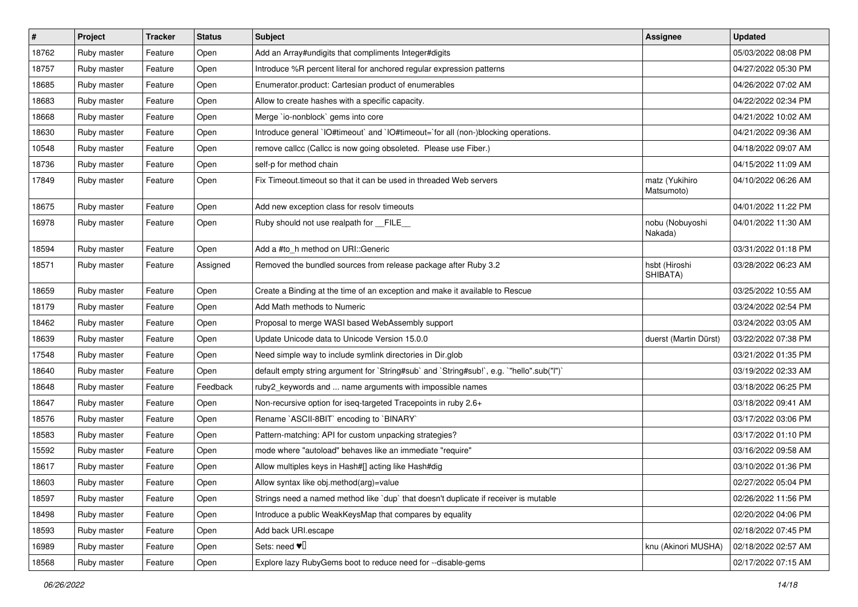| #     | Project     | <b>Tracker</b> | <b>Status</b> | <b>Subject</b>                                                                            | <b>Assignee</b>              | <b>Updated</b>      |
|-------|-------------|----------------|---------------|-------------------------------------------------------------------------------------------|------------------------------|---------------------|
| 18762 | Ruby master | Feature        | Open          | Add an Array#undigits that compliments Integer#digits                                     |                              | 05/03/2022 08:08 PM |
| 18757 | Ruby master | Feature        | Open          | Introduce %R percent literal for anchored regular expression patterns                     |                              | 04/27/2022 05:30 PM |
| 18685 | Ruby master | Feature        | Open          | Enumerator.product: Cartesian product of enumerables                                      |                              | 04/26/2022 07:02 AM |
| 18683 | Ruby master | Feature        | Open          | Allow to create hashes with a specific capacity.                                          |                              | 04/22/2022 02:34 PM |
| 18668 | Ruby master | Feature        | Open          | Merge `io-nonblock` gems into core                                                        |                              | 04/21/2022 10:02 AM |
| 18630 | Ruby master | Feature        | Open          | Introduce general 'IO#timeout' and 'IO#timeout='for all (non-)blocking operations.        |                              | 04/21/2022 09:36 AM |
| 10548 | Ruby master | Feature        | Open          | remove callcc (Callcc is now going obsoleted. Please use Fiber.)                          |                              | 04/18/2022 09:07 AM |
| 18736 | Ruby master | Feature        | Open          | self-p for method chain                                                                   |                              | 04/15/2022 11:09 AM |
| 17849 | Ruby master | Feature        | Open          | Fix Timeout timeout so that it can be used in threaded Web servers                        | matz (Yukihiro<br>Matsumoto) | 04/10/2022 06:26 AM |
| 18675 | Ruby master | Feature        | Open          | Add new exception class for resolv timeouts                                               |                              | 04/01/2022 11:22 PM |
| 16978 | Ruby master | Feature        | Open          | Ruby should not use realpath for __FILE__                                                 | nobu (Nobuyoshi<br>Nakada)   | 04/01/2022 11:30 AM |
| 18594 | Ruby master | Feature        | Open          | Add a #to_h method on URI::Generic                                                        |                              | 03/31/2022 01:18 PM |
| 18571 | Ruby master | Feature        | Assigned      | Removed the bundled sources from release package after Ruby 3.2                           | hsbt (Hiroshi<br>SHIBATA)    | 03/28/2022 06:23 AM |
| 18659 | Ruby master | Feature        | Open          | Create a Binding at the time of an exception and make it available to Rescue              |                              | 03/25/2022 10:55 AM |
| 18179 | Ruby master | Feature        | Open          | Add Math methods to Numeric                                                               |                              | 03/24/2022 02:54 PM |
| 18462 | Ruby master | Feature        | Open          | Proposal to merge WASI based WebAssembly support                                          |                              | 03/24/2022 03:05 AM |
| 18639 | Ruby master | Feature        | Open          | Update Unicode data to Unicode Version 15.0.0                                             | duerst (Martin Dürst)        | 03/22/2022 07:38 PM |
| 17548 | Ruby master | Feature        | Open          | Need simple way to include symlink directories in Dir.glob                                |                              | 03/21/2022 01:35 PM |
| 18640 | Ruby master | Feature        | Open          | default empty string argument for `String#sub` and `String#sub!`, e.g. `"hello".sub("I")` |                              | 03/19/2022 02:33 AM |
| 18648 | Ruby master | Feature        | Feedback      | ruby2_keywords and  name arguments with impossible names                                  |                              | 03/18/2022 06:25 PM |
| 18647 | Ruby master | Feature        | Open          | Non-recursive option for iseq-targeted Tracepoints in ruby 2.6+                           |                              | 03/18/2022 09:41 AM |
| 18576 | Ruby master | Feature        | Open          | Rename `ASCII-8BIT` encoding to `BINARY`                                                  |                              | 03/17/2022 03:06 PM |
| 18583 | Ruby master | Feature        | Open          | Pattern-matching: API for custom unpacking strategies?                                    |                              | 03/17/2022 01:10 PM |
| 15592 | Ruby master | Feature        | Open          | mode where "autoload" behaves like an immediate "require"                                 |                              | 03/16/2022 09:58 AM |
| 18617 | Ruby master | Feature        | Open          | Allow multiples keys in Hash#[] acting like Hash#dig                                      |                              | 03/10/2022 01:36 PM |
| 18603 | Ruby master | Feature        | Open          | Allow syntax like obj.method(arg)=value                                                   |                              | 02/27/2022 05:04 PM |
| 18597 | Ruby master | Feature        | Open          | Strings need a named method like 'dup' that doesn't duplicate if receiver is mutable      |                              | 02/26/2022 11:56 PM |
| 18498 | Ruby master | Feature        | Open          | Introduce a public WeakKeysMap that compares by equality                                  |                              | 02/20/2022 04:06 PM |
| 18593 | Ruby master | Feature        | Open          | Add back URI.escape                                                                       |                              | 02/18/2022 07:45 PM |
| 16989 | Ruby master | Feature        | Open          | Sets: need $\Psi$ <sup><math>\Box</math></sup>                                            | knu (Akinori MUSHA)          | 02/18/2022 02:57 AM |
| 18568 | Ruby master | Feature        | Open          | Explore lazy RubyGems boot to reduce need for --disable-gems                              |                              | 02/17/2022 07:15 AM |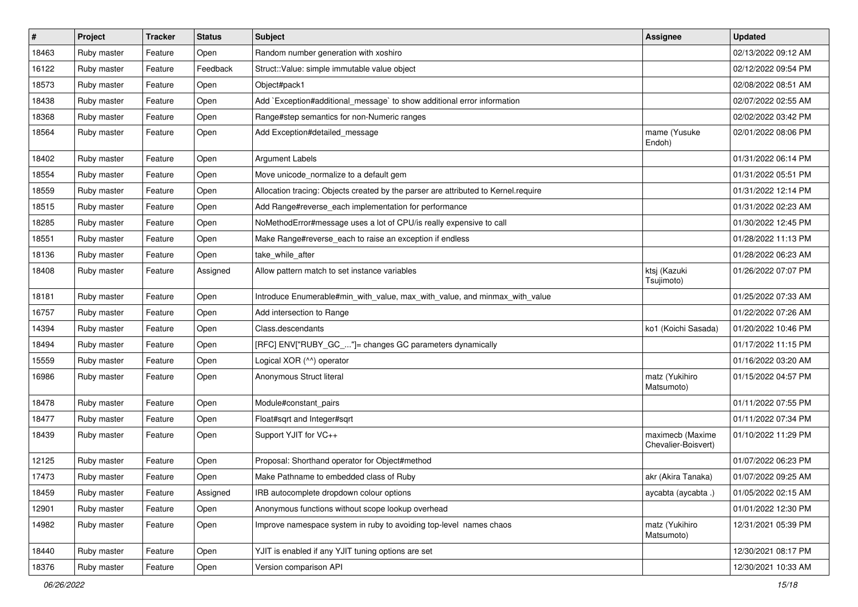| $\sharp$ | Project     | <b>Tracker</b> | <b>Status</b> | <b>Subject</b>                                                                     | Assignee                                | <b>Updated</b>      |
|----------|-------------|----------------|---------------|------------------------------------------------------------------------------------|-----------------------------------------|---------------------|
| 18463    | Ruby master | Feature        | Open          | Random number generation with xoshiro                                              |                                         | 02/13/2022 09:12 AM |
| 16122    | Ruby master | Feature        | Feedback      | Struct::Value: simple immutable value object                                       |                                         | 02/12/2022 09:54 PM |
| 18573    | Ruby master | Feature        | Open          | Object#pack1                                                                       |                                         | 02/08/2022 08:51 AM |
| 18438    | Ruby master | Feature        | Open          | Add `Exception#additional_message` to show additional error information            |                                         | 02/07/2022 02:55 AM |
| 18368    | Ruby master | Feature        | Open          | Range#step semantics for non-Numeric ranges                                        |                                         | 02/02/2022 03:42 PM |
| 18564    | Ruby master | Feature        | Open          | Add Exception#detailed_message                                                     | mame (Yusuke<br>Endoh)                  | 02/01/2022 08:06 PM |
| 18402    | Ruby master | Feature        | Open          | <b>Argument Labels</b>                                                             |                                         | 01/31/2022 06:14 PM |
| 18554    | Ruby master | Feature        | Open          | Move unicode_normalize to a default gem                                            |                                         | 01/31/2022 05:51 PM |
| 18559    | Ruby master | Feature        | Open          | Allocation tracing: Objects created by the parser are attributed to Kernel.require |                                         | 01/31/2022 12:14 PM |
| 18515    | Ruby master | Feature        | Open          | Add Range#reverse_each implementation for performance                              |                                         | 01/31/2022 02:23 AM |
| 18285    | Ruby master | Feature        | Open          | NoMethodError#message uses a lot of CPU/is really expensive to call                |                                         | 01/30/2022 12:45 PM |
| 18551    | Ruby master | Feature        | Open          | Make Range#reverse_each to raise an exception if endless                           |                                         | 01/28/2022 11:13 PM |
| 18136    | Ruby master | Feature        | Open          | take_while_after                                                                   |                                         | 01/28/2022 06:23 AM |
| 18408    | Ruby master | Feature        | Assigned      | Allow pattern match to set instance variables                                      | ktsj (Kazuki<br>Tsujimoto)              | 01/26/2022 07:07 PM |
| 18181    | Ruby master | Feature        | Open          | Introduce Enumerable#min_with_value, max_with_value, and minmax_with_value         |                                         | 01/25/2022 07:33 AM |
| 16757    | Ruby master | Feature        | Open          | Add intersection to Range                                                          |                                         | 01/22/2022 07:26 AM |
| 14394    | Ruby master | Feature        | Open          | Class.descendants                                                                  | ko1 (Koichi Sasada)                     | 01/20/2022 10:46 PM |
| 18494    | Ruby master | Feature        | Open          | [RFC] ENV["RUBY_GC_"]= changes GC parameters dynamically                           |                                         | 01/17/2022 11:15 PM |
| 15559    | Ruby master | Feature        | Open          | Logical XOR (^^) operator                                                          |                                         | 01/16/2022 03:20 AM |
| 16986    | Ruby master | Feature        | Open          | Anonymous Struct literal                                                           | matz (Yukihiro<br>Matsumoto)            | 01/15/2022 04:57 PM |
| 18478    | Ruby master | Feature        | Open          | Module#constant_pairs                                                              |                                         | 01/11/2022 07:55 PM |
| 18477    | Ruby master | Feature        | Open          | Float#sqrt and Integer#sqrt                                                        |                                         | 01/11/2022 07:34 PM |
| 18439    | Ruby master | Feature        | Open          | Support YJIT for VC++                                                              | maximecb (Maxime<br>Chevalier-Boisvert) | 01/10/2022 11:29 PM |
| 12125    | Ruby master | Feature        | Open          | Proposal: Shorthand operator for Object#method                                     |                                         | 01/07/2022 06:23 PM |
| 17473    | Ruby master | Feature        | Open          | Make Pathname to embedded class of Ruby                                            | akr (Akira Tanaka)                      | 01/07/2022 09:25 AM |
| 18459    | Ruby master | Feature        | Assigned      | IRB autocomplete dropdown colour options                                           | aycabta (aycabta.)                      | 01/05/2022 02:15 AM |
| 12901    | Ruby master | Feature        | Open          | Anonymous functions without scope lookup overhead                                  |                                         | 01/01/2022 12:30 PM |
| 14982    | Ruby master | Feature        | Open          | Improve namespace system in ruby to avoiding top-level names chaos                 | matz (Yukihiro<br>Matsumoto)            | 12/31/2021 05:39 PM |
| 18440    | Ruby master | Feature        | Open          | YJIT is enabled if any YJIT tuning options are set                                 |                                         | 12/30/2021 08:17 PM |
| 18376    | Ruby master | Feature        | Open          | Version comparison API                                                             |                                         | 12/30/2021 10:33 AM |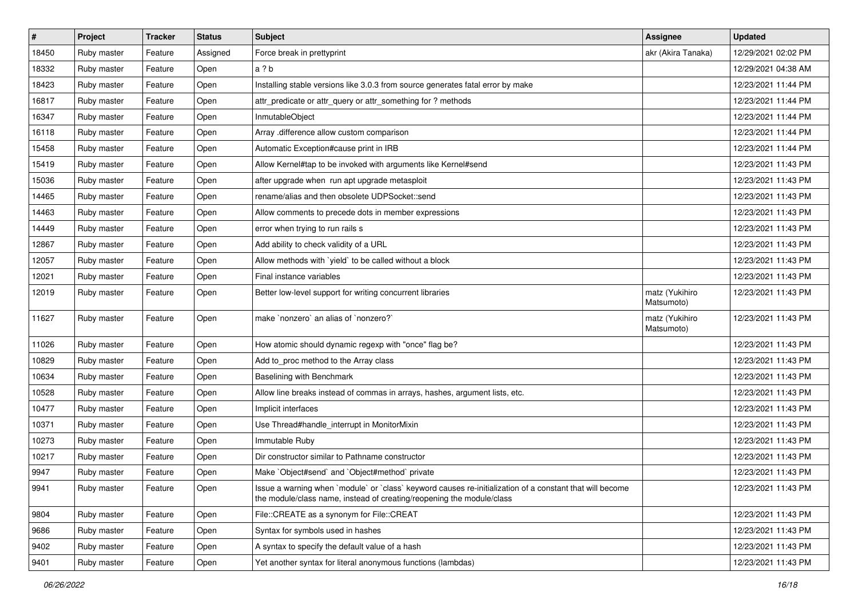| #     | Project     | <b>Tracker</b> | <b>Status</b> | <b>Subject</b>                                                                                                                                                                    | <b>Assignee</b>              | <b>Updated</b>      |
|-------|-------------|----------------|---------------|-----------------------------------------------------------------------------------------------------------------------------------------------------------------------------------|------------------------------|---------------------|
| 18450 | Ruby master | Feature        | Assigned      | Force break in prettyprint                                                                                                                                                        | akr (Akira Tanaka)           | 12/29/2021 02:02 PM |
| 18332 | Ruby master | Feature        | Open          | a?b                                                                                                                                                                               |                              | 12/29/2021 04:38 AM |
| 18423 | Ruby master | Feature        | Open          | Installing stable versions like 3.0.3 from source generates fatal error by make                                                                                                   |                              | 12/23/2021 11:44 PM |
| 16817 | Ruby master | Feature        | Open          | attr_predicate or attr_query or attr_something for ? methods                                                                                                                      |                              | 12/23/2021 11:44 PM |
| 16347 | Ruby master | Feature        | Open          | InmutableObject                                                                                                                                                                   |                              | 12/23/2021 11:44 PM |
| 16118 | Ruby master | Feature        | Open          | Array .difference allow custom comparison                                                                                                                                         |                              | 12/23/2021 11:44 PM |
| 15458 | Ruby master | Feature        | Open          | Automatic Exception#cause print in IRB                                                                                                                                            |                              | 12/23/2021 11:44 PM |
| 15419 | Ruby master | Feature        | Open          | Allow Kernel#tap to be invoked with arguments like Kernel#send                                                                                                                    |                              | 12/23/2021 11:43 PM |
| 15036 | Ruby master | Feature        | Open          | after upgrade when run apt upgrade metasploit                                                                                                                                     |                              | 12/23/2021 11:43 PM |
| 14465 | Ruby master | Feature        | Open          | rename/alias and then obsolete UDPSocket::send                                                                                                                                    |                              | 12/23/2021 11:43 PM |
| 14463 | Ruby master | Feature        | Open          | Allow comments to precede dots in member expressions                                                                                                                              |                              | 12/23/2021 11:43 PM |
| 14449 | Ruby master | Feature        | Open          | error when trying to run rails s                                                                                                                                                  |                              | 12/23/2021 11:43 PM |
| 12867 | Ruby master | Feature        | Open          | Add ability to check validity of a URL                                                                                                                                            |                              | 12/23/2021 11:43 PM |
| 12057 | Ruby master | Feature        | Open          | Allow methods with `yield` to be called without a block                                                                                                                           |                              | 12/23/2021 11:43 PM |
| 12021 | Ruby master | Feature        | Open          | Final instance variables                                                                                                                                                          |                              | 12/23/2021 11:43 PM |
| 12019 | Ruby master | Feature        | Open          | Better low-level support for writing concurrent libraries                                                                                                                         | matz (Yukihiro<br>Matsumoto) | 12/23/2021 11:43 PM |
| 11627 | Ruby master | Feature        | Open          | make `nonzero` an alias of `nonzero?`                                                                                                                                             | matz (Yukihiro<br>Matsumoto) | 12/23/2021 11:43 PM |
| 11026 | Ruby master | Feature        | Open          | How atomic should dynamic regexp with "once" flag be?                                                                                                                             |                              | 12/23/2021 11:43 PM |
| 10829 | Ruby master | Feature        | Open          | Add to_proc method to the Array class                                                                                                                                             |                              | 12/23/2021 11:43 PM |
| 10634 | Ruby master | Feature        | Open          | Baselining with Benchmark                                                                                                                                                         |                              | 12/23/2021 11:43 PM |
| 10528 | Ruby master | Feature        | Open          | Allow line breaks instead of commas in arrays, hashes, argument lists, etc.                                                                                                       |                              | 12/23/2021 11:43 PM |
| 10477 | Ruby master | Feature        | Open          | Implicit interfaces                                                                                                                                                               |                              | 12/23/2021 11:43 PM |
| 10371 | Ruby master | Feature        | Open          | Use Thread#handle_interrupt in MonitorMixin                                                                                                                                       |                              | 12/23/2021 11:43 PM |
| 10273 | Ruby master | Feature        | Open          | Immutable Ruby                                                                                                                                                                    |                              | 12/23/2021 11:43 PM |
| 10217 | Ruby master | Feature        | Open          | Dir constructor similar to Pathname constructor                                                                                                                                   |                              | 12/23/2021 11:43 PM |
| 9947  | Ruby master | Feature        | Open          | Make `Object#send` and `Object#method` private                                                                                                                                    |                              | 12/23/2021 11:43 PM |
| 9941  | Ruby master | Feature        | Open          | Issue a warning when `module` or `class` keyword causes re-initialization of a constant that will become<br>the module/class name, instead of creating/reopening the module/class |                              | 12/23/2021 11:43 PM |
| 9804  | Ruby master | Feature        | Open          | File::CREATE as a synonym for File::CREAT                                                                                                                                         |                              | 12/23/2021 11:43 PM |
| 9686  | Ruby master | Feature        | Open          | Syntax for symbols used in hashes                                                                                                                                                 |                              | 12/23/2021 11:43 PM |
| 9402  | Ruby master | Feature        | Open          | A syntax to specify the default value of a hash                                                                                                                                   |                              | 12/23/2021 11:43 PM |
| 9401  | Ruby master | Feature        | Open          | Yet another syntax for literal anonymous functions (lambdas)                                                                                                                      |                              | 12/23/2021 11:43 PM |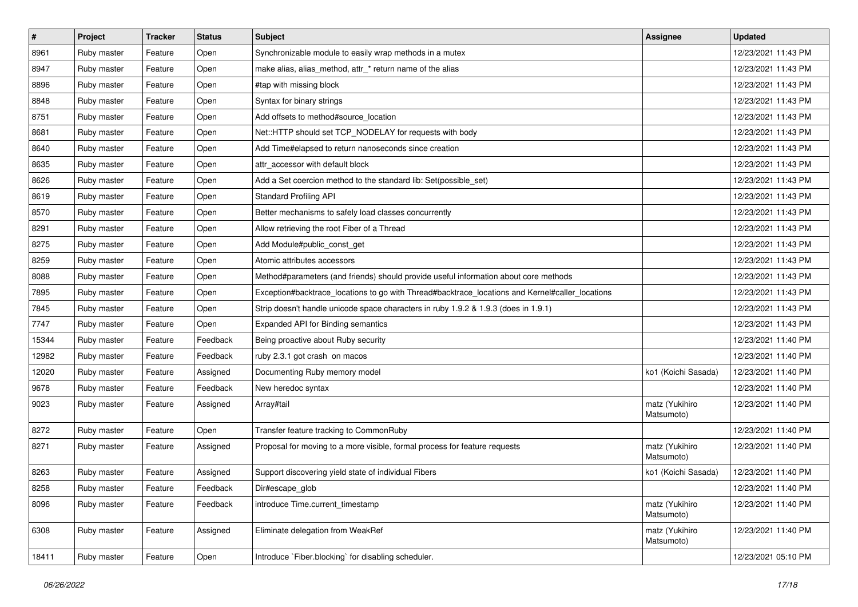| $\pmb{\#}$ | Project     | <b>Tracker</b> | <b>Status</b> | <b>Subject</b>                                                                                  | <b>Assignee</b>              | <b>Updated</b>      |
|------------|-------------|----------------|---------------|-------------------------------------------------------------------------------------------------|------------------------------|---------------------|
| 8961       | Ruby master | Feature        | Open          | Synchronizable module to easily wrap methods in a mutex                                         |                              | 12/23/2021 11:43 PM |
| 8947       | Ruby master | Feature        | Open          | make alias, alias_method, attr_* return name of the alias                                       |                              | 12/23/2021 11:43 PM |
| 8896       | Ruby master | Feature        | Open          | #tap with missing block                                                                         |                              | 12/23/2021 11:43 PM |
| 8848       | Ruby master | Feature        | Open          | Syntax for binary strings                                                                       |                              | 12/23/2021 11:43 PM |
| 8751       | Ruby master | Feature        | Open          | Add offsets to method#source_location                                                           |                              | 12/23/2021 11:43 PM |
| 8681       | Ruby master | Feature        | Open          | Net::HTTP should set TCP_NODELAY for requests with body                                         |                              | 12/23/2021 11:43 PM |
| 8640       | Ruby master | Feature        | Open          | Add Time#elapsed to return nanoseconds since creation                                           |                              | 12/23/2021 11:43 PM |
| 8635       | Ruby master | Feature        | Open          | attr_accessor with default block                                                                |                              | 12/23/2021 11:43 PM |
| 8626       | Ruby master | Feature        | Open          | Add a Set coercion method to the standard lib: Set(possible_set)                                |                              | 12/23/2021 11:43 PM |
| 8619       | Ruby master | Feature        | Open          | <b>Standard Profiling API</b>                                                                   |                              | 12/23/2021 11:43 PM |
| 8570       | Ruby master | Feature        | Open          | Better mechanisms to safely load classes concurrently                                           |                              | 12/23/2021 11:43 PM |
| 8291       | Ruby master | Feature        | Open          | Allow retrieving the root Fiber of a Thread                                                     |                              | 12/23/2021 11:43 PM |
| 8275       | Ruby master | Feature        | Open          | Add Module#public_const_get                                                                     |                              | 12/23/2021 11:43 PM |
| 8259       | Ruby master | Feature        | Open          | Atomic attributes accessors                                                                     |                              | 12/23/2021 11:43 PM |
| 8088       | Ruby master | Feature        | Open          | Method#parameters (and friends) should provide useful information about core methods            |                              | 12/23/2021 11:43 PM |
| 7895       | Ruby master | Feature        | Open          | Exception#backtrace_locations to go with Thread#backtrace_locations and Kernel#caller_locations |                              | 12/23/2021 11:43 PM |
| 7845       | Ruby master | Feature        | Open          | Strip doesn't handle unicode space characters in ruby 1.9.2 & 1.9.3 (does in 1.9.1)             |                              | 12/23/2021 11:43 PM |
| 7747       | Ruby master | Feature        | Open          | Expanded API for Binding semantics                                                              |                              | 12/23/2021 11:43 PM |
| 15344      | Ruby master | Feature        | Feedback      | Being proactive about Ruby security                                                             |                              | 12/23/2021 11:40 PM |
| 12982      | Ruby master | Feature        | Feedback      | ruby 2.3.1 got crash on macos                                                                   |                              | 12/23/2021 11:40 PM |
| 12020      | Ruby master | Feature        | Assigned      | Documenting Ruby memory model                                                                   | ko1 (Koichi Sasada)          | 12/23/2021 11:40 PM |
| 9678       | Ruby master | Feature        | Feedback      | New heredoc syntax                                                                              |                              | 12/23/2021 11:40 PM |
| 9023       | Ruby master | Feature        | Assigned      | Array#tail                                                                                      | matz (Yukihiro<br>Matsumoto) | 12/23/2021 11:40 PM |
| 8272       | Ruby master | Feature        | Open          | Transfer feature tracking to CommonRuby                                                         |                              | 12/23/2021 11:40 PM |
| 8271       | Ruby master | Feature        | Assigned      | Proposal for moving to a more visible, formal process for feature requests                      | matz (Yukihiro<br>Matsumoto) | 12/23/2021 11:40 PM |
| 8263       | Ruby master | Feature        | Assigned      | Support discovering yield state of individual Fibers                                            | ko1 (Koichi Sasada)          | 12/23/2021 11:40 PM |
| 8258       | Ruby master | Feature        | Feedback      | Dir#escape_glob                                                                                 |                              | 12/23/2021 11:40 PM |
| 8096       | Ruby master | Feature        | Feedback      | introduce Time.current timestamp                                                                | matz (Yukihiro<br>Matsumoto) | 12/23/2021 11:40 PM |
| 6308       | Ruby master | Feature        | Assigned      | Eliminate delegation from WeakRef                                                               | matz (Yukihiro<br>Matsumoto) | 12/23/2021 11:40 PM |
| 18411      | Ruby master | Feature        | Open          | Introduce `Fiber.blocking` for disabling scheduler.                                             |                              | 12/23/2021 05:10 PM |